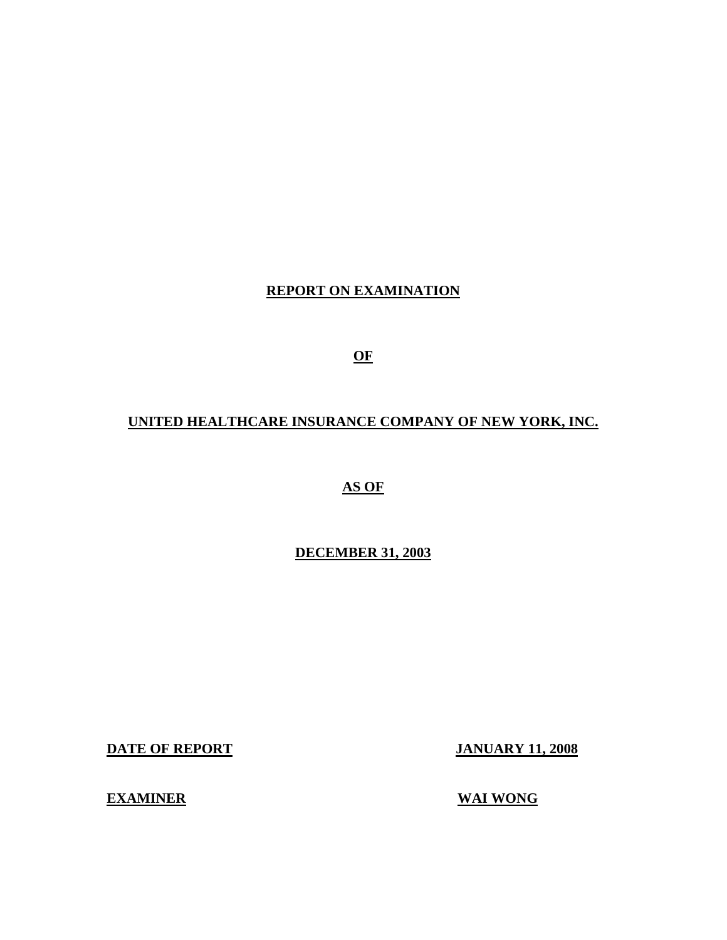# **REPORT ON EXAMINATION**

**OF** 

# **UNITED HEALTHCARE INSURANCE COMPANY OF NEW YORK, INC.**

**AS OF** 

**DECEMBER 31, 2003** 

**DATE OF REPORT JANUARY 11, 2008** 

**EXAMINER** WAI WONG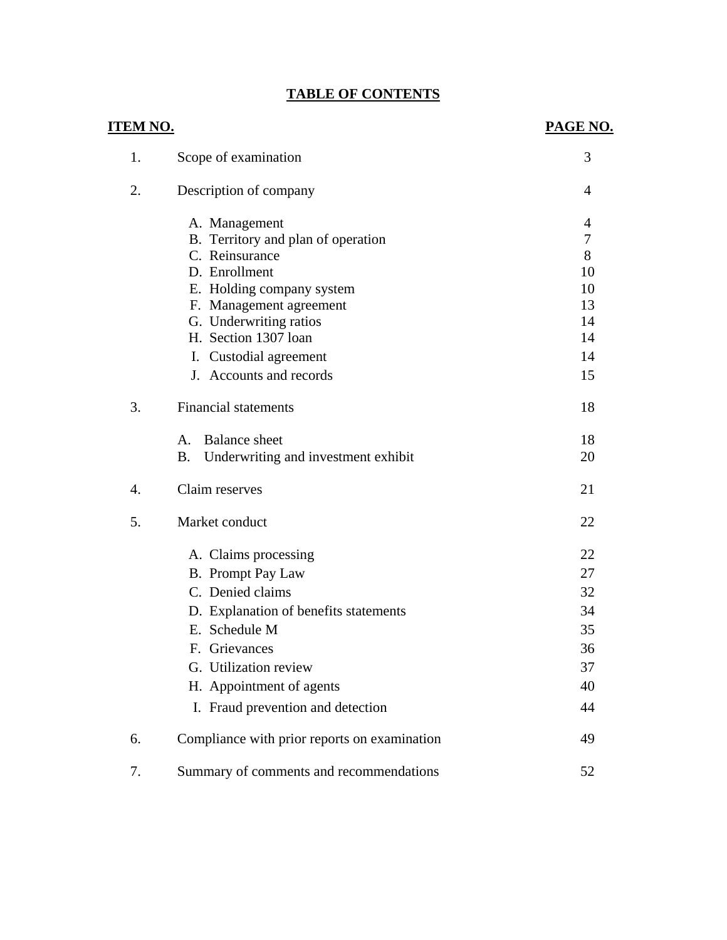# **TABLE OF CONTENTS**

| <b>ITEM NO.</b> |                                                  | PAGE NO.       |
|-----------------|--------------------------------------------------|----------------|
| 1.              | Scope of examination                             | 3              |
| 2.              | Description of company                           | $\overline{4}$ |
|                 | A. Management                                    | 4              |
|                 | B. Territory and plan of operation               | 7              |
|                 | C. Reinsurance                                   | 8              |
|                 | D. Enrollment                                    | 10             |
|                 | E. Holding company system                        | 10             |
|                 | F. Management agreement                          | 13             |
|                 | G. Underwriting ratios                           | 14             |
|                 | H. Section 1307 loan                             | 14             |
|                 | I. Custodial agreement                           | 14             |
|                 | J. Accounts and records                          | 15             |
| 3.              | <b>Financial statements</b>                      | 18             |
|                 | <b>Balance</b> sheet<br>$A_{-}$                  | 18             |
|                 | Underwriting and investment exhibit<br><b>B.</b> | 20             |
| 4.              | Claim reserves                                   | 21             |
| 5.              | Market conduct                                   | 22             |
|                 | A. Claims processing                             | 22             |
|                 | <b>B.</b> Prompt Pay Law                         | 27             |
|                 | C. Denied claims                                 | 32             |
|                 | D. Explanation of benefits statements            | 34             |
|                 | E. Schedule M                                    | 35             |
|                 | F. Grievances                                    | 36             |
|                 | G. Utilization review                            | 37             |
|                 | H. Appointment of agents                         | 40             |
|                 | I. Fraud prevention and detection                | 44             |
| 6.              | Compliance with prior reports on examination     | 49             |
|                 |                                                  |                |
| 7.              | Summary of comments and recommendations          | 52             |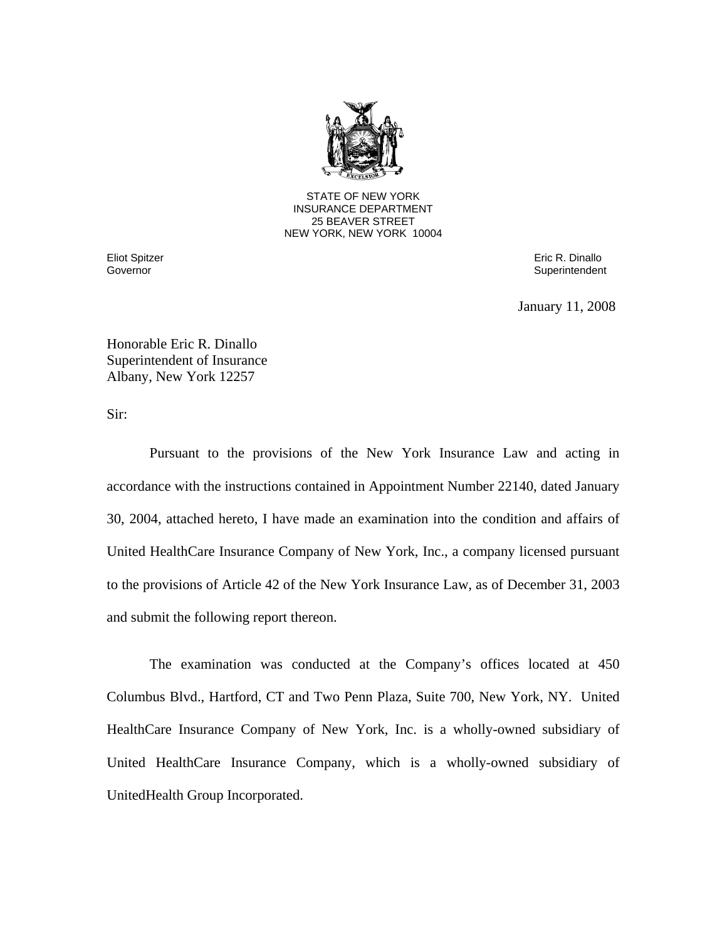

25 BEAVER STREET STATE OF NEW YORK INSURANCE DEPARTMENT NEW YORK, NEW YORK 10004

Governor

Eliot Spitzer Eric R. Dinallo Superintendent

January 11, 2008

Honorable Eric R. Dinallo Superintendent of Insurance Albany, New York 12257

Sir:

Pursuant to the provisions of the New York Insurance Law and acting in accordance with the instructions contained in Appointment Number 22140, dated January 30, 2004, attached hereto, I have made an examination into the condition and affairs of United HealthCare Insurance Company of New York, Inc., a company licensed pursuant to the provisions of Article 42 of the New York Insurance Law, as of December 31, 2003 and submit the following report thereon.

The examination was conducted at the Company's offices located at 450 Columbus Blvd., Hartford, CT and Two Penn Plaza, Suite 700, New York, NY. United HealthCare Insurance Company of New York, Inc. is a wholly-owned subsidiary of United HealthCare Insurance Company, which is a wholly-owned subsidiary of UnitedHealth Group Incorporated.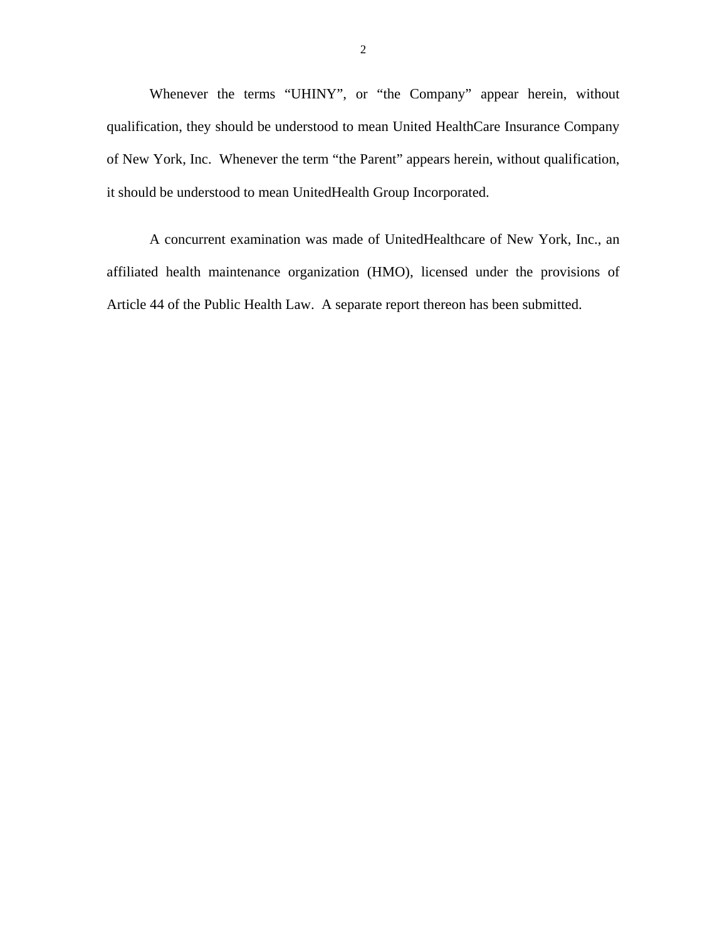Whenever the terms "UHINY", or "the Company" appear herein, without qualification, they should be understood to mean United HealthCare Insurance Company of New York, Inc. Whenever the term "the Parent" appears herein, without qualification, it should be understood to mean UnitedHealth Group Incorporated.

A concurrent examination was made of UnitedHealthcare of New York, Inc., an affiliated health maintenance organization (HMO), licensed under the provisions of Article 44 of the Public Health Law. A separate report thereon has been submitted.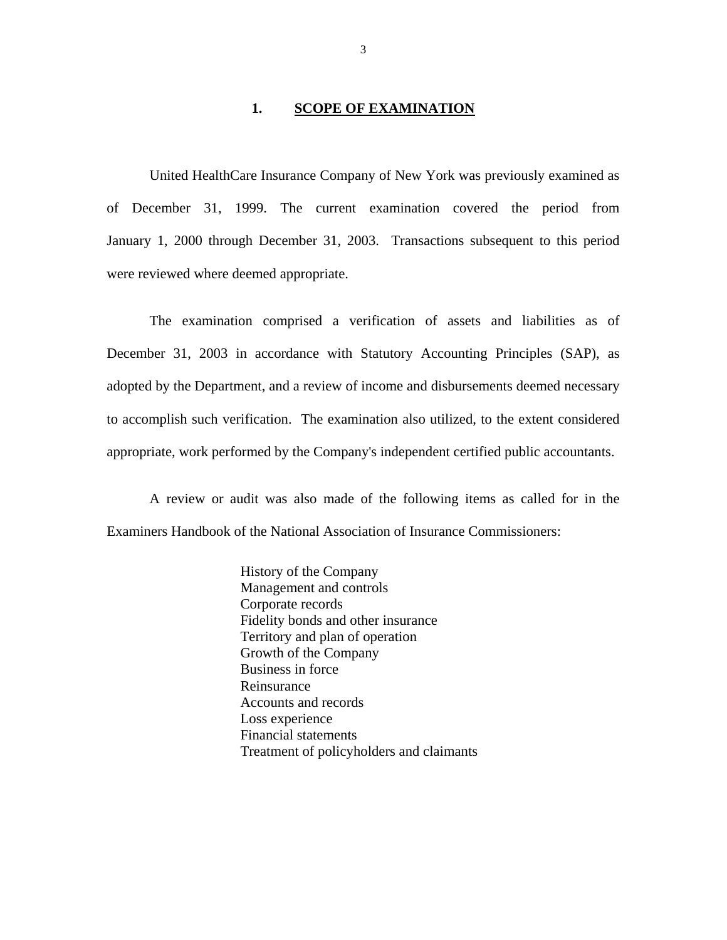### 1. **SCOPE OF EXAMINATION**

<span id="page-4-0"></span>United HealthCare Insurance Company of New York was previously examined as of December 31, 1999. The current examination covered the period from January 1, 2000 through December 31, 2003. Transactions subsequent to this period were reviewed where deemed appropriate.

The examination comprised a verification of assets and liabilities as of December 31, 2003 in accordance with Statutory Accounting Principles (SAP), as adopted by the Department, and a review of income and disbursements deemed necessary to accomplish such verification. The examination also utilized, to the extent considered appropriate, work performed by the Company's independent certified public accountants.

A review or audit was also made of the following items as called for in the Examiners Handbook of the National Association of Insurance Commissioners:

> History of the Company Management and controls Corporate records Fidelity bonds and other insurance Territory and plan of operation Growth of the Company Business in force Reinsurance Accounts and records Loss experience Financial statements Treatment of policyholders and claimants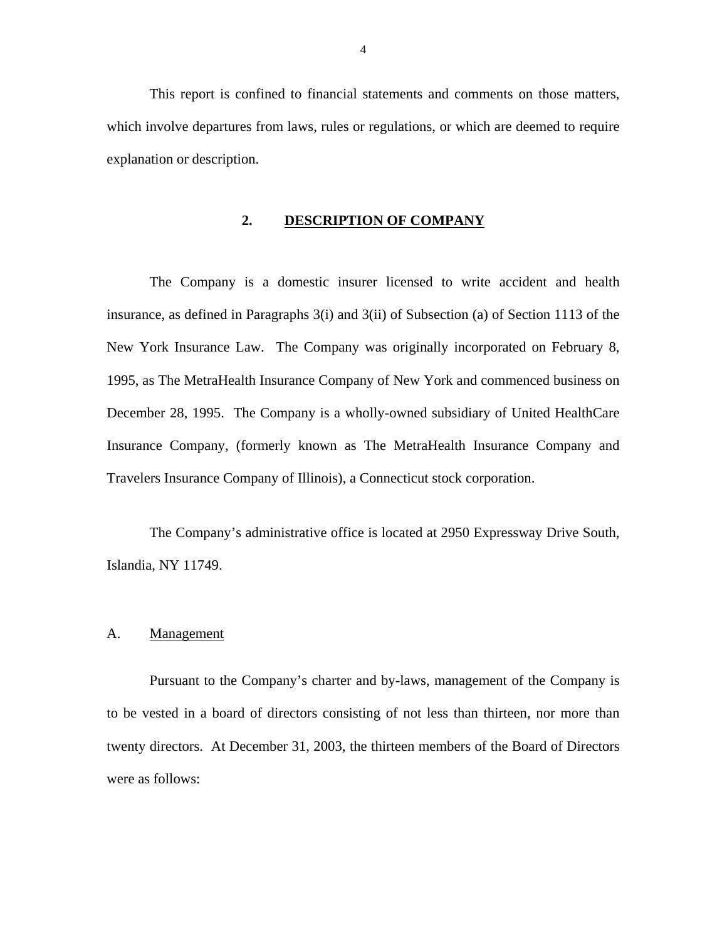<span id="page-5-0"></span>This report is confined to financial statements and comments on those matters, which involve departures from laws, rules or regulations, or which are deemed to require explanation or description.

# **2. DESCRIPTION OF COMPANY**

The Company is a domestic insurer licensed to write accident and health insurance, as defined in Paragraphs 3(i) and 3(ii) of Subsection (a) of Section 1113 of the New York Insurance Law. The Company was originally incorporated on February 8, 1995, as The MetraHealth Insurance Company of New York and commenced business on December 28, 1995. The Company is a wholly-owned subsidiary of United HealthCare Insurance Company, (formerly known as The MetraHealth Insurance Company and Travelers Insurance Company of Illinois), a Connecticut stock corporation.

The Company's administrative office is located at 2950 Expressway Drive South, Islandia, NY 11749.

### A. Management

Pursuant to the Company's charter and by-laws, management of the Company is to be vested in a board of directors consisting of not less than thirteen, nor more than twenty directors. At December 31, 2003, the thirteen members of the Board of Directors were as follows: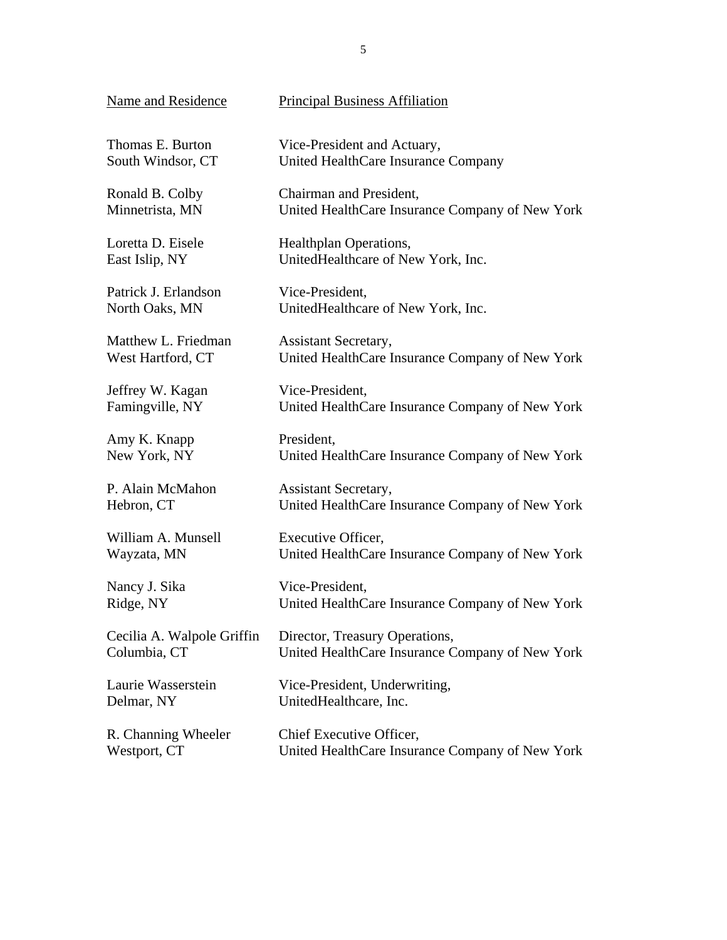| Name and Residence         | <b>Principal Business Affiliation</b>           |
|----------------------------|-------------------------------------------------|
| Thomas E. Burton           | Vice-President and Actuary,                     |
| South Windsor, CT          | United HealthCare Insurance Company             |
| Ronald B. Colby            | Chairman and President,                         |
| Minnetrista, MN            | United HealthCare Insurance Company of New York |
| Loretta D. Eisele          | Healthplan Operations,                          |
| East Islip, NY             | UnitedHealthcare of New York, Inc.              |
| Patrick J. Erlandson       | Vice-President,                                 |
| North Oaks, MN             | UnitedHealthcare of New York, Inc.              |
| Matthew L. Friedman        | <b>Assistant Secretary,</b>                     |
| West Hartford, CT          | United HealthCare Insurance Company of New York |
| Jeffrey W. Kagan           | Vice-President,                                 |
| Famingville, NY            | United HealthCare Insurance Company of New York |
| Amy K. Knapp               | President,                                      |
| New York, NY               | United HealthCare Insurance Company of New York |
| P. Alain McMahon           | <b>Assistant Secretary,</b>                     |
| Hebron, CT                 | United HealthCare Insurance Company of New York |
| William A. Munsell         | Executive Officer,                              |
| Wayzata, MN                | United HealthCare Insurance Company of New York |
| Nancy J. Sika              | Vice-President,                                 |
| Ridge, NY                  | United HealthCare Insurance Company of New York |
| Cecilia A. Walpole Griffin | Director, Treasury Operations,                  |
| Columbia, CT               | United HealthCare Insurance Company of New York |
| Laurie Wasserstein         | Vice-President, Underwriting,                   |
| Delmar, NY                 | UnitedHealthcare, Inc.                          |
| R. Channing Wheeler        | Chief Executive Officer,                        |
| Westport, CT               | United HealthCare Insurance Company of New York |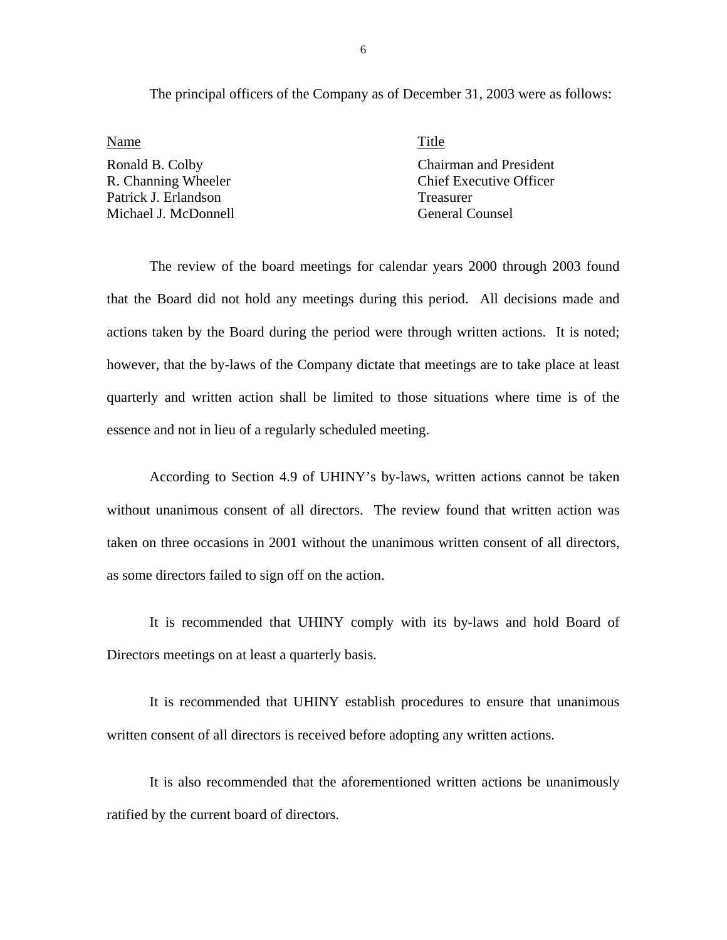The principal officers of the Company as of December 31, 2003 were as follows:

Name Title Patrick J. Erlandson Treasurer Michael J. McDonnell General Counsel

Ronald B. Colby Chairman and President R. Channing Wheeler Chief Executive Officer

The review of the board meetings for calendar years 2000 through 2003 found that the Board did not hold any meetings during this period. All decisions made and actions taken by the Board during the period were through written actions. It is noted; however, that the by-laws of the Company dictate that meetings are to take place at least quarterly and written action shall be limited to those situations where time is of the essence and not in lieu of a regularly scheduled meeting.

According to Section 4.9 of UHINY's by-laws, written actions cannot be taken without unanimous consent of all directors. The review found that written action was taken on three occasions in 2001 without the unanimous written consent of all directors, as some directors failed to sign off on the action.

It is recommended that UHINY comply with its by-laws and hold Board of Directors meetings on at least a quarterly basis.

It is recommended that UHINY establish procedures to ensure that unanimous written consent of all directors is received before adopting any written actions.

It is also recommended that the aforementioned written actions be unanimously ratified by the current board of directors.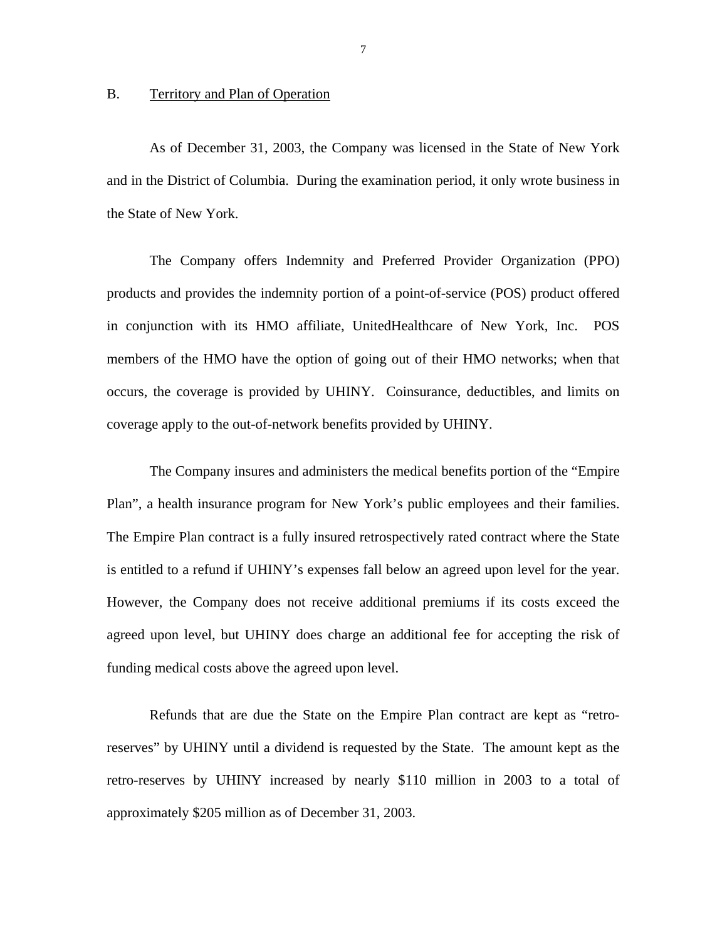### <span id="page-8-0"></span>B. Territory and Plan of Operation

As of December 31, 2003, the Company was licensed in the State of New York and in the District of Columbia. During the examination period, it only wrote business in the State of New York.

The Company offers Indemnity and Preferred Provider Organization (PPO) products and provides the indemnity portion of a point-of-service (POS) product offered in conjunction with its HMO affiliate, UnitedHealthcare of New York, Inc. POS members of the HMO have the option of going out of their HMO networks; when that occurs, the coverage is provided by UHINY. Coinsurance, deductibles, and limits on coverage apply to the out-of-network benefits provided by UHINY.

The Company insures and administers the medical benefits portion of the "Empire Plan", a health insurance program for New York's public employees and their families. The Empire Plan contract is a fully insured retrospectively rated contract where the State is entitled to a refund if UHINY's expenses fall below an agreed upon level for the year. However, the Company does not receive additional premiums if its costs exceed the agreed upon level, but UHINY does charge an additional fee for accepting the risk of funding medical costs above the agreed upon level.

Refunds that are due the State on the Empire Plan contract are kept as "retroreserves" by UHINY until a dividend is requested by the State. The amount kept as the retro-reserves by UHINY increased by nearly \$110 million in 2003 to a total of approximately \$205 million as of December 31, 2003.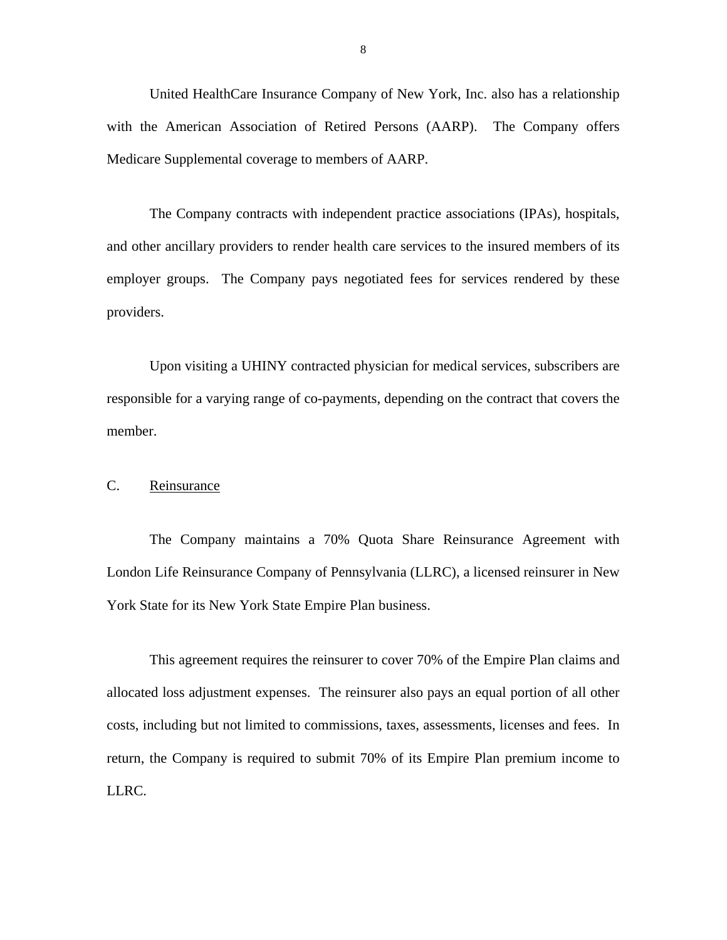<span id="page-9-0"></span>United HealthCare Insurance Company of New York, Inc. also has a relationship with the American Association of Retired Persons (AARP). The Company offers Medicare Supplemental coverage to members of AARP.

The Company contracts with independent practice associations (IPAs), hospitals, and other ancillary providers to render health care services to the insured members of its employer groups. The Company pays negotiated fees for services rendered by these providers.

Upon visiting a UHINY contracted physician for medical services, subscribers are responsible for a varying range of co-payments, depending on the contract that covers the member.

C. Reinsurance

The Company maintains a 70% Quota Share Reinsurance Agreement with London Life Reinsurance Company of Pennsylvania (LLRC), a licensed reinsurer in New York State for its New York State Empire Plan business.

This agreement requires the reinsurer to cover 70% of the Empire Plan claims and allocated loss adjustment expenses. The reinsurer also pays an equal portion of all other costs, including but not limited to commissions, taxes, assessments, licenses and fees. In return, the Company is required to submit 70% of its Empire Plan premium income to LLRC.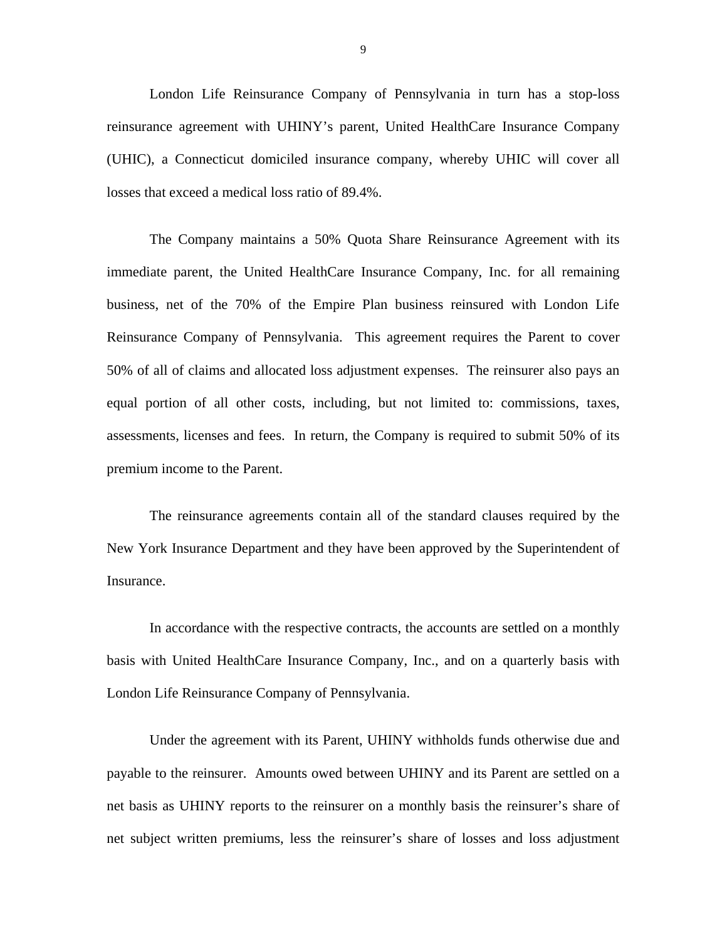London Life Reinsurance Company of Pennsylvania in turn has a stop-loss reinsurance agreement with UHINY's parent, United HealthCare Insurance Company (UHIC), a Connecticut domiciled insurance company, whereby UHIC will cover all losses that exceed a medical loss ratio of 89.4%.

The Company maintains a 50% Quota Share Reinsurance Agreement with its immediate parent, the United HealthCare Insurance Company, Inc. for all remaining business, net of the 70% of the Empire Plan business reinsured with London Life Reinsurance Company of Pennsylvania. This agreement requires the Parent to cover 50% of all of claims and allocated loss adjustment expenses. The reinsurer also pays an equal portion of all other costs, including, but not limited to: commissions, taxes, assessments, licenses and fees. In return, the Company is required to submit 50% of its premium income to the Parent.

The reinsurance agreements contain all of the standard clauses required by the New York Insurance Department and they have been approved by the Superintendent of Insurance.

In accordance with the respective contracts, the accounts are settled on a monthly basis with United HealthCare Insurance Company, Inc., and on a quarterly basis with London Life Reinsurance Company of Pennsylvania.

Under the agreement with its Parent, UHINY withholds funds otherwise due and payable to the reinsurer. Amounts owed between UHINY and its Parent are settled on a net basis as UHINY reports to the reinsurer on a monthly basis the reinsurer's share of net subject written premiums, less the reinsurer's share of losses and loss adjustment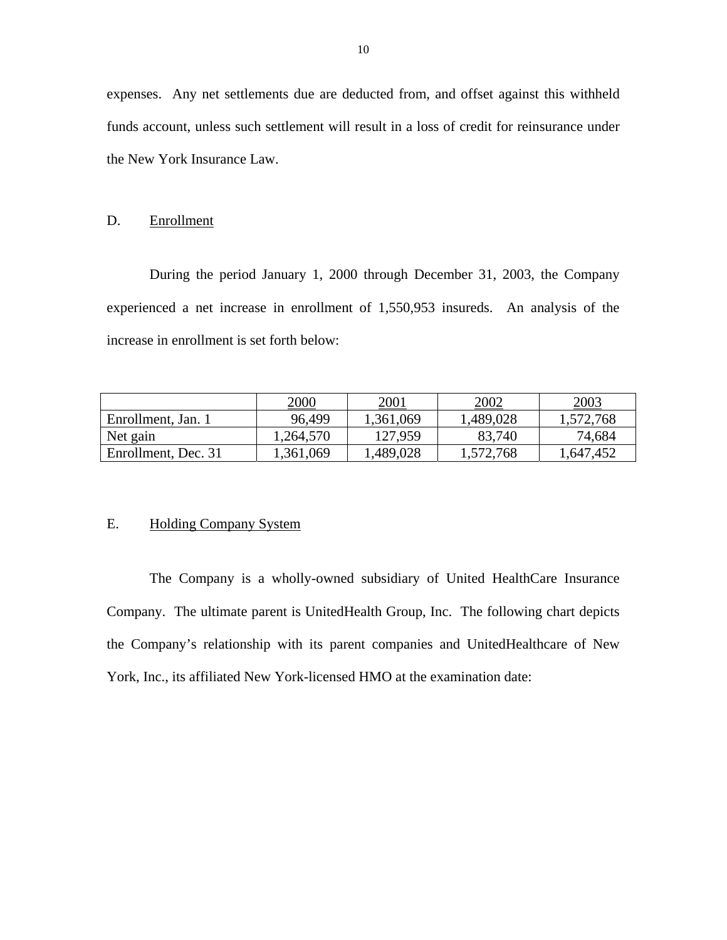expenses. Any net settlements due are deducted from, and offset against this withheld funds account, unless such settlement will result in a loss of credit for reinsurance under the New York Insurance Law.

### D. Enrollment

During the period January 1, 2000 through December 31, 2003, the Company experienced a net increase in enrollment of 1,550,953 insureds. An analysis of the increase in enrollment is set forth below:

|                     | 2000      | 2001      | 2002      | 2003      |
|---------------------|-----------|-----------|-----------|-----------|
| Enrollment, Jan. 1  | 96.499    | 1,361,069 | 1,489,028 | 1,572,768 |
| Net gain            | 1,264,570 | 127,959   | 83,740    | 74,684    |
| Enrollment, Dec. 31 | 1,361,069 | .489,028  | 1,572,768 | 1,647,452 |

### E. Holding Company System

The Company is a wholly-owned subsidiary of United HealthCare Insurance Company. The ultimate parent is UnitedHealth Group, Inc. The following chart depicts the Company's relationship with its parent companies and UnitedHealthcare of New York, Inc., its affiliated New York-licensed HMO at the examination date: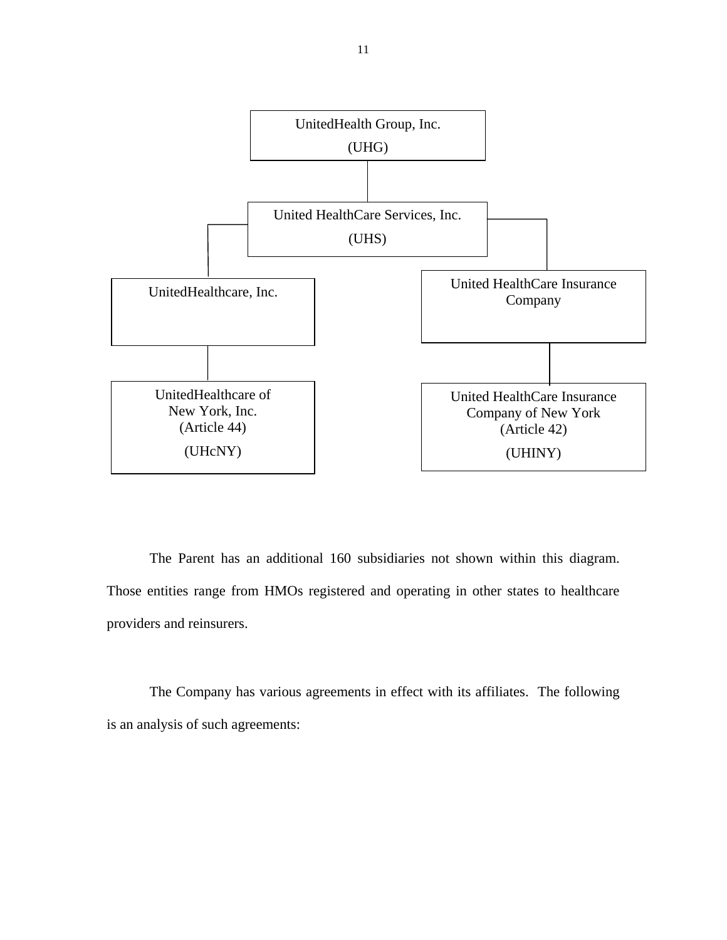

The Parent has an additional 160 subsidiaries not shown within this diagram. Those entities range from HMOs registered and operating in other states to healthcare providers and reinsurers.

The Company has various agreements in effect with its affiliates. The following is an analysis of such agreements: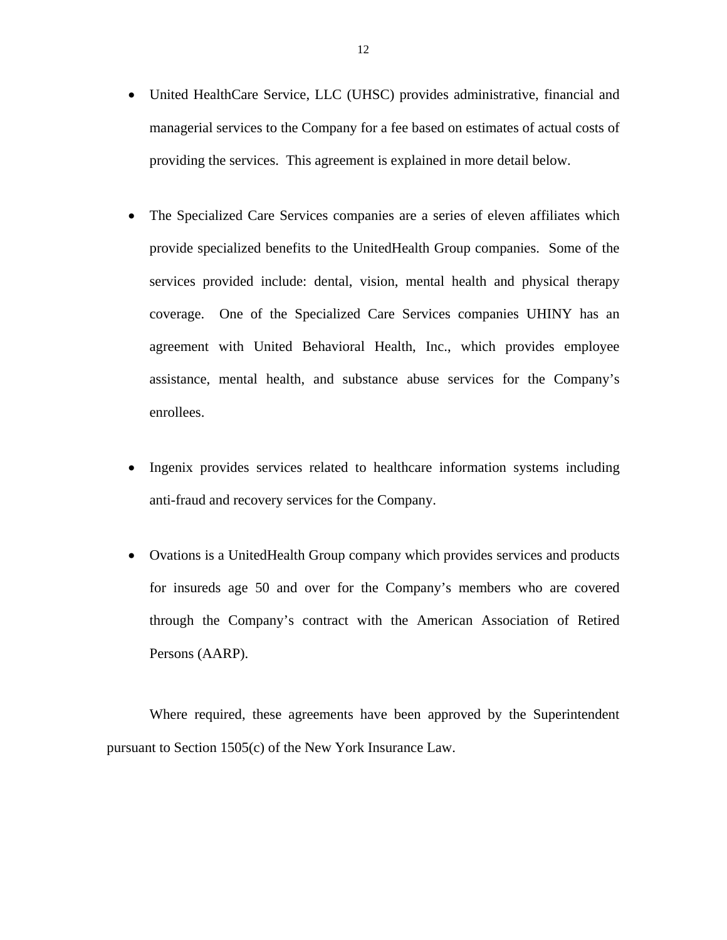- providing the services. This agreement is explained in more detail below. • United HealthCare Service, LLC (UHSC) provides administrative, financial and managerial services to the Company for a fee based on estimates of actual costs of
- The Specialized Care Services companies are a series of eleven affiliates which provide specialized benefits to the UnitedHealth Group companies. Some of the services provided include: dental, vision, mental health and physical therapy coverage. One of the Specialized Care Services companies UHINY has an agreement with United Behavioral Health, Inc., which provides employee assistance, mental health, and substance abuse services for the Company's enrollees.
- Ingenix provides services related to healthcare information systems including anti-fraud and recovery services for the Company.
- Ovations is a UnitedHealth Group company which provides services and products for insureds age 50 and over for the Company's members who are covered through the Company's contract with the American Association of Retired Persons (AARP).

Where required, these agreements have been approved by the Superintendent pursuant to Section 1505(c) of the New York Insurance Law.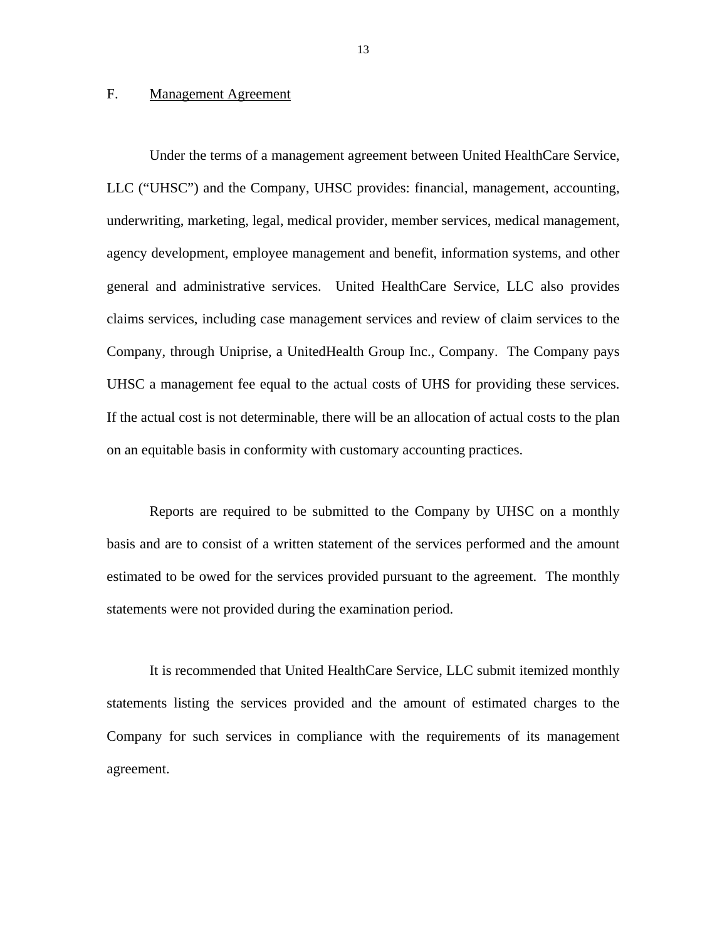# <span id="page-14-0"></span>F. Management Agreement

Under the terms of a management agreement between United HealthCare Service, LLC ("UHSC") and the Company, UHSC provides: financial, management, accounting, underwriting, marketing, legal, medical provider, member services, medical management, agency development, employee management and benefit, information systems, and other general and administrative services. United HealthCare Service, LLC also provides claims services, including case management services and review of claim services to the Company, through Uniprise, a UnitedHealth Group Inc., Company. The Company pays UHSC a management fee equal to the actual costs of UHS for providing these services. If the actual cost is not determinable, there will be an allocation of actual costs to the plan on an equitable basis in conformity with customary accounting practices.

Reports are required to be submitted to the Company by UHSC on a monthly basis and are to consist of a written statement of the services performed and the amount estimated to be owed for the services provided pursuant to the agreement. The monthly statements were not provided during the examination period.

It is recommended that United HealthCare Service, LLC submit itemized monthly statements listing the services provided and the amount of estimated charges to the Company for such services in compliance with the requirements of its management agreement.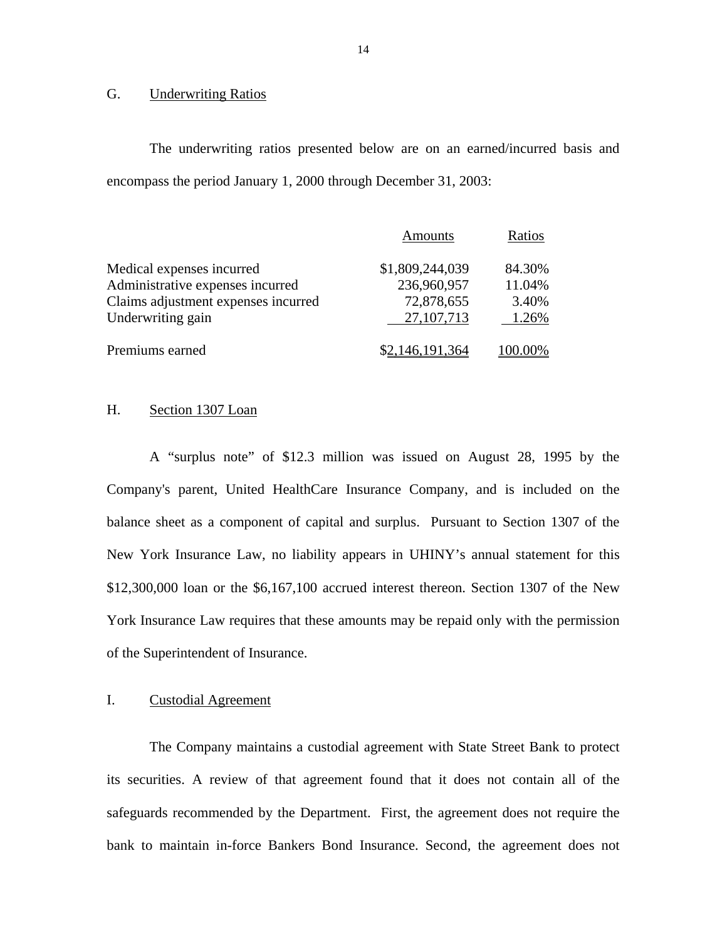### G. Underwriting Ratios

The underwriting ratios presented below are on an earned/incurred basis and encompass the period January 1, 2000 through December 31, 2003:

|                                     | Amounts         | Ratios  |
|-------------------------------------|-----------------|---------|
| Medical expenses incurred           | \$1,809,244,039 | 84.30%  |
| Administrative expenses incurred    | 236,960,957     | 11.04%  |
| Claims adjustment expenses incurred | 72,878,655      | 3.40%   |
| Underwriting gain                   | 27, 107, 713    | 1.26%   |
| Premiums earned                     | \$2,146,191,364 | 100.00% |

### H. Section 1307 Loan

A "surplus note" of \$12.3 million was issued on August 28, 1995 by the Company's parent, United HealthCare Insurance Company, and is included on the balance sheet as a component of capital and surplus. Pursuant to Section 1307 of the New York Insurance Law, no liability appears in UHINY's annual statement for this \$12,300,000 loan or the \$6,167,100 accrued interest thereon. Section 1307 of the New York Insurance Law requires that these amounts may be repaid only with the permission of the Superintendent of Insurance.

# I. Custodial Agreement

The Company maintains a custodial agreement with State Street Bank to protect its securities. A review of that agreement found that it does not contain all of the safeguards recommended by the Department. First, the agreement does not require the bank to maintain in-force Bankers Bond Insurance. Second, the agreement does not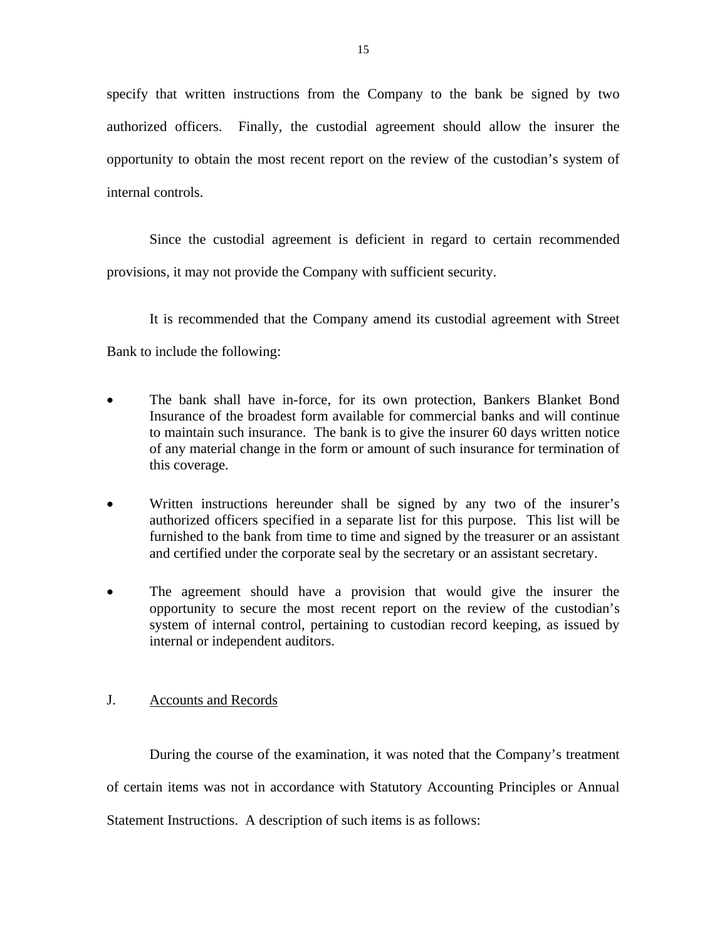<span id="page-16-0"></span>specify that written instructions from the Company to the bank be signed by two authorized officers. Finally, the custodial agreement should allow the insurer the opportunity to obtain the most recent report on the review of the custodian's system of internal controls.

Since the custodial agreement is deficient in regard to certain recommended provisions, it may not provide the Company with sufficient security.

It is recommended that the Company amend its custodial agreement with Street Bank to include the following:

- The bank shall have in-force, for its own protection, Bankers Blanket Bond Insurance of the broadest form available for commercial banks and will continue to maintain such insurance. The bank is to give the insurer 60 days written notice of any material change in the form or amount of such insurance for termination of this coverage.
- Written instructions hereunder shall be signed by any two of the insurer's authorized officers specified in a separate list for this purpose. This list will be furnished to the bank from time to time and signed by the treasurer or an assistant and certified under the corporate seal by the secretary or an assistant secretary.
- The agreement should have a provision that would give the insurer the opportunity to secure the most recent report on the review of the custodian's system of internal control, pertaining to custodian record keeping, as issued by internal or independent auditors.

# J. Accounts and Records

During the course of the examination, it was noted that the Company's treatment of certain items was not in accordance with Statutory Accounting Principles or Annual Statement Instructions. A description of such items is as follows: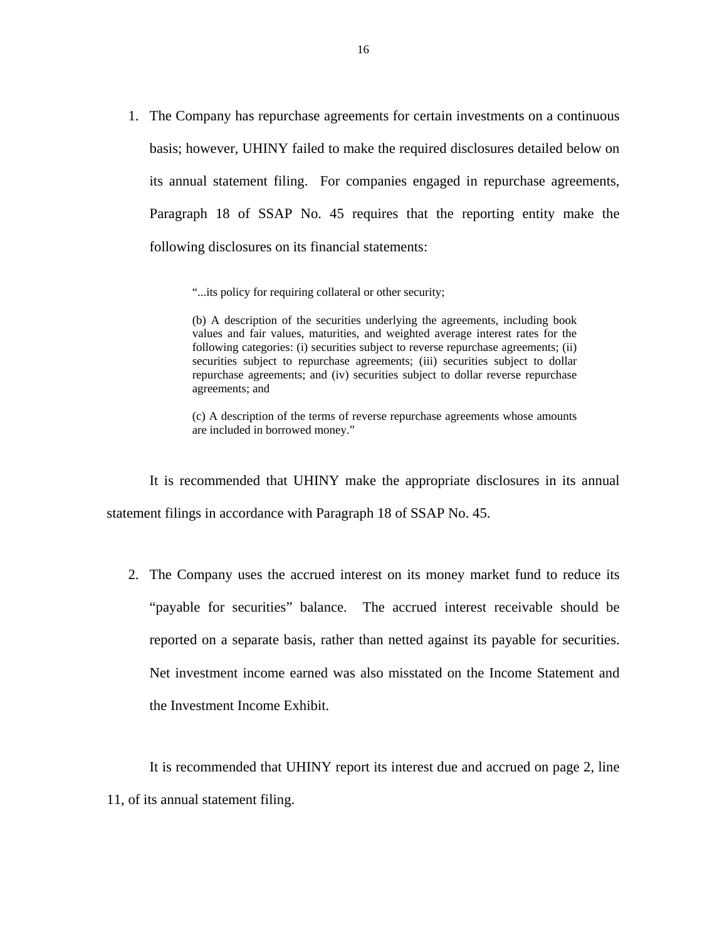1. The Company has repurchase agreements for certain investments on a continuous basis; however, UHINY failed to make the required disclosures detailed below on its annual statement filing. For companies engaged in repurchase agreements, Paragraph 18 of SSAP No. 45 requires that the reporting entity make the following disclosures on its financial statements:

"...its policy for requiring collateral or other security;

 (b) A description of the securities underlying the agreements, including book values and fair values, maturities, and weighted average interest rates for the following categories: (i) securities subject to reverse repurchase agreements; (ii) securities subject to repurchase agreements; (iii) securities subject to dollar repurchase agreements; and (iv) securities subject to dollar reverse repurchase agreements; and

(c) A description of the terms of reverse repurchase agreements whose amounts are included in borrowed money."

It is recommended that UHINY make the appropriate disclosures in its annual statement filings in accordance with Paragraph 18 of SSAP No. 45.

 reported on a separate basis, rather than netted against its payable for securities. Net investment income earned was also misstated on the Income Statement and 2. The Company uses the accrued interest on its money market fund to reduce its "payable for securities" balance. The accrued interest receivable should be the Investment Income Exhibit.

It is recommended that UHINY report its interest due and accrued on page 2, line 11, of its annual statement filing.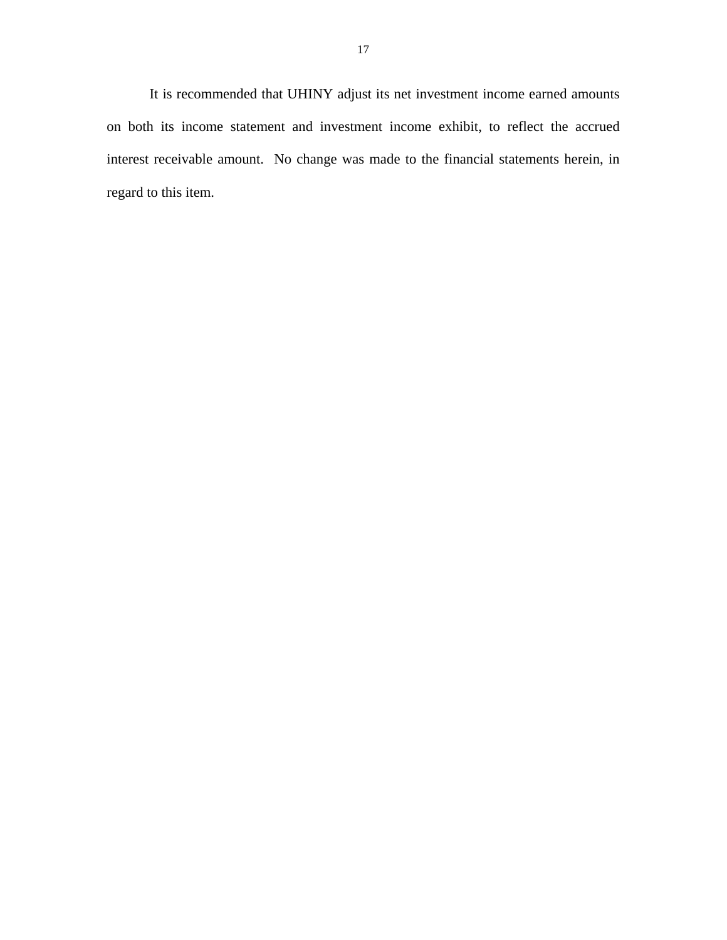It is recommended that UHINY adjust its net investment income earned amounts on both its income statement and investment income exhibit, to reflect the accrued interest receivable amount. No change was made to the financial statements herein, in regard to this item.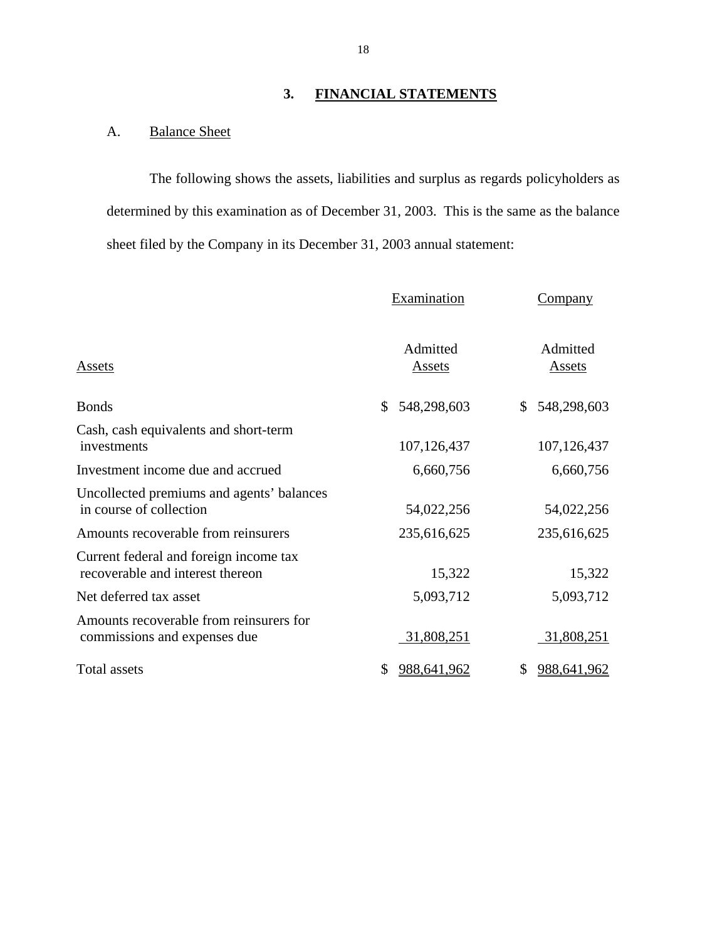# **3. FINANCIAL STATEMENTS**

# <span id="page-19-0"></span>A. Balance Sheet

The following shows the assets, liabilities and surplus as regards policyholders as determined by this examination as of December 31, 2003. This is the same as the balance sheet filed by the Company in its December 31, 2003 annual statement:

|                                                                            | Examination               | <b>Company</b>            |
|----------------------------------------------------------------------------|---------------------------|---------------------------|
| <u>Assets</u>                                                              | Admitted<br><b>Assets</b> | Admitted<br><b>Assets</b> |
| <b>Bonds</b>                                                               | 548,298,603<br>\$         | 548,298,603<br>\$         |
| Cash, cash equivalents and short-term<br>investments                       | 107,126,437               | 107,126,437               |
| Investment income due and accrued                                          | 6,660,756                 | 6,660,756                 |
| Uncollected premiums and agents' balances<br>in course of collection       | 54,022,256                | 54,022,256                |
| Amounts recoverable from reinsurers                                        | 235,616,625               | 235,616,625               |
| Current federal and foreign income tax<br>recoverable and interest thereon | 15,322                    | 15,322                    |
| Net deferred tax asset                                                     | 5,093,712                 | 5,093,712                 |
| Amounts recoverable from reinsurers for<br>commissions and expenses due    | 31,808,251                | 31,808,251                |
| <b>Total assets</b>                                                        | 988,641,962<br>\$         | \$<br>988,641,962         |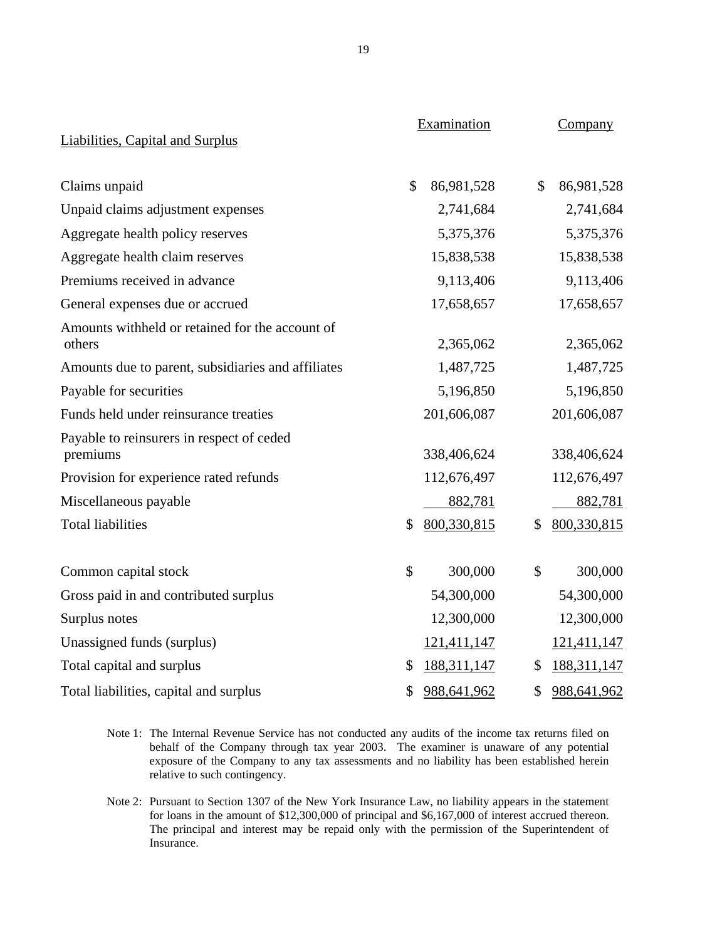|                                                           | Examination         | Company             |
|-----------------------------------------------------------|---------------------|---------------------|
| <b>Liabilities, Capital and Surplus</b>                   |                     |                     |
| Claims unpaid                                             | \$<br>86,981,528    | \$<br>86,981,528    |
| Unpaid claims adjustment expenses                         | 2,741,684           | 2,741,684           |
| Aggregate health policy reserves                          | 5,375,376           | 5,375,376           |
| Aggregate health claim reserves                           | 15,838,538          | 15,838,538          |
| Premiums received in advance                              | 9,113,406           | 9,113,406           |
| General expenses due or accrued                           | 17,658,657          | 17,658,657          |
| Amounts withheld or retained for the account of<br>others | 2,365,062           | 2,365,062           |
| Amounts due to parent, subsidiaries and affiliates        | 1,487,725           | 1,487,725           |
| Payable for securities                                    | 5,196,850           | 5,196,850           |
| Funds held under reinsurance treaties                     | 201,606,087         | 201,606,087         |
| Payable to reinsurers in respect of ceded<br>premiums     | 338,406,624         | 338,406,624         |
| Provision for experience rated refunds                    | 112,676,497         | 112,676,497         |
| Miscellaneous payable                                     | 882,781             | 882,781             |
| <b>Total liabilities</b>                                  | \$<br>800,330,815   | \$<br>800,330,815   |
| Common capital stock                                      | \$<br>300,000       | \$<br>300,000       |
| Gross paid in and contributed surplus                     | 54,300,000          | 54,300,000          |
| Surplus notes                                             | 12,300,000          | 12,300,000          |
| Unassigned funds (surplus)                                | 121,411,147         | 121,411,147         |
| Total capital and surplus                                 | \$<br>188, 311, 147 | \$<br>188, 311, 147 |
| Total liabilities, capital and surplus                    | \$<br>988,641,962   | \$<br>988,641,962   |

- Note 1: The Internal Revenue Service has not conducted any audits of the income tax returns filed on behalf of the Company through tax year 2003. The examiner is unaware of any potential exposure of the Company to any tax assessments and no liability has been established herein relative to such contingency.
- Note 2: Pursuant to Section 1307 of the New York Insurance Law, no liability appears in the statement for loans in the amount of \$12,300,000 of principal and \$6,167,000 of interest accrued thereon. for loans in the amount of \$12,300,000 of principal and \$6,167,000 of interest accrued thereon. The principal and interest may be repaid only with the permission of the Superintendent of Insurance.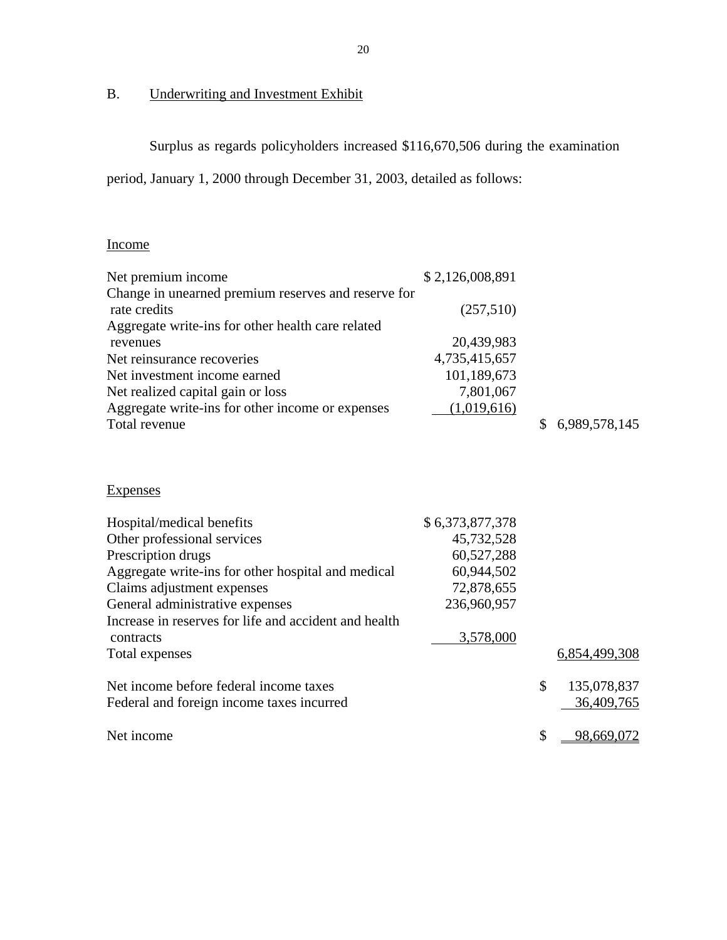# B. Underwriting and Investment Exhibit

Surplus as regards policyholders increased \$116,670,506 during the examination

period, January 1, 2000 through December 31, 2003, detailed as follows:

| Income                                              |                 |               |
|-----------------------------------------------------|-----------------|---------------|
| Net premium income                                  | \$2,126,008,891 |               |
| Change in unearned premium reserves and reserve for |                 |               |
| rate credits                                        | (257,510)       |               |
| Aggregate write-ins for other health care related   |                 |               |
| revenues                                            | 20,439,983      |               |
| Net reinsurance recoveries                          | 4,735,415,657   |               |
| Net investment income earned                        | 101,189,673     |               |
| Net realized capital gain or loss                   | 7,801,067       |               |
| Aggregate write-ins for other income or expenses    | (1,019,616)     |               |
| Total revenue                                       |                 | 6,989,578,145 |

| <b>Expenses</b>                                       |                 |                   |
|-------------------------------------------------------|-----------------|-------------------|
| Hospital/medical benefits                             | \$6,373,877,378 |                   |
| Other professional services                           | 45,732,528      |                   |
| Prescription drugs                                    | 60,527,288      |                   |
| Aggregate write-ins for other hospital and medical    | 60,944,502      |                   |
| Claims adjustment expenses                            | 72,878,655      |                   |
| General administrative expenses                       | 236,960,957     |                   |
| Increase in reserves for life and accident and health |                 |                   |
| contracts                                             | 3,578,000       |                   |
| Total expenses                                        |                 | 6,854,499,308     |
| Net income before federal income taxes                |                 | \$<br>135,078,837 |
| Federal and foreign income taxes incurred             |                 | 36,409,765        |
| Net income                                            |                 | \$<br>98,669,072  |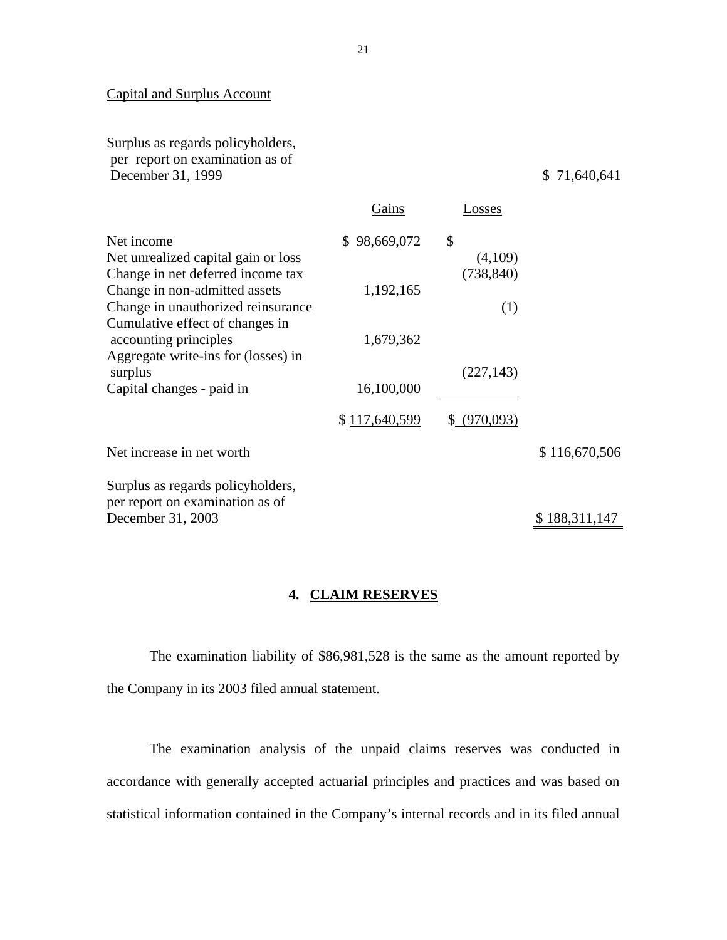# Capital and Surplus Account

Surplus as regards policyholders, per report on examination as of December 31, 1999 \$ 71,640,641

|                                                                     | Gains         | Losses        |               |
|---------------------------------------------------------------------|---------------|---------------|---------------|
| Net income<br>Net unrealized capital gain or loss                   | \$98,669,072  | \$<br>(4,109) |               |
| Change in net deferred income tax                                   |               | (738, 840)    |               |
| Change in non-admitted assets<br>Change in unauthorized reinsurance | 1,192,165     | (1)           |               |
| Cumulative effect of changes in<br>accounting principles            | 1,679,362     |               |               |
| Aggregate write-ins for (losses) in<br>surplus                      |               | (227, 143)    |               |
| Capital changes - paid in                                           | 16,100,000    |               |               |
|                                                                     | \$117,640,599 | \$ (970,093)  |               |
| Net increase in net worth                                           |               |               | \$116,670,506 |
| Surplus as regards policyholders,                                   |               |               |               |
| per report on examination as of<br>December 31, 2003                |               |               | \$188,311,147 |
|                                                                     |               |               |               |

# **4. CLAIM RESERVES**

The examination liability of \$86,981,528 is the same as the amount reported by the Company in its 2003 filed annual statement.

The examination analysis of the unpaid claims reserves was conducted in accordance with generally accepted actuarial principles and practices and was based on statistical information contained in the Company's internal records and in its filed annual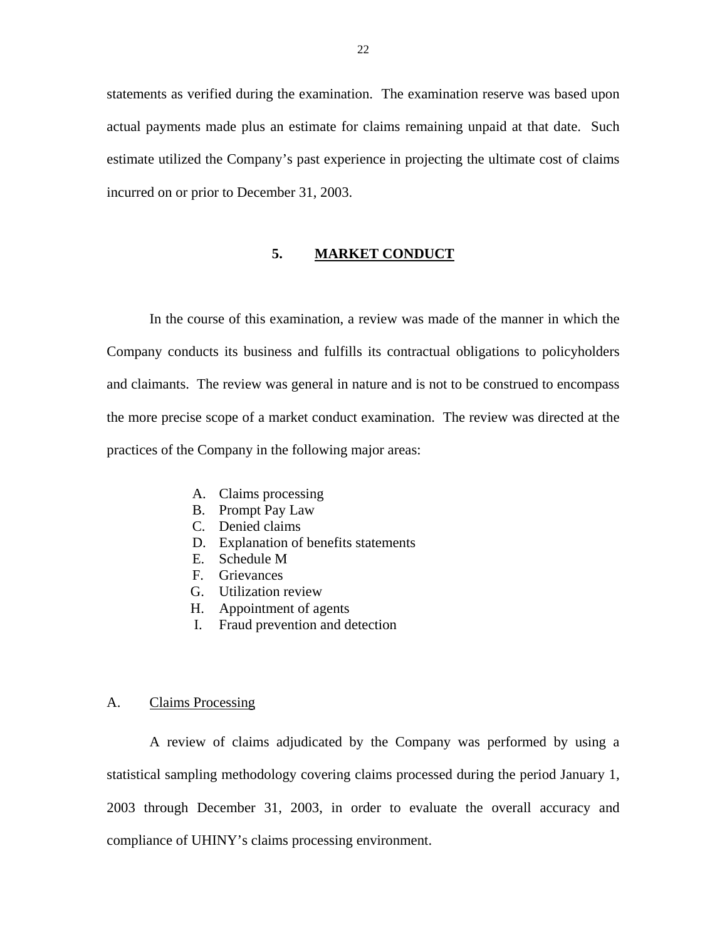<span id="page-23-0"></span>statements as verified during the examination. The examination reserve was based upon actual payments made plus an estimate for claims remaining unpaid at that date. Such estimate utilized the Company's past experience in projecting the ultimate cost of claims incurred on or prior to December 31, 2003.

### **5. MARKET CONDUCT**

In the course of this examination, a review was made of the manner in which the Company conducts its business and fulfills its contractual obligations to policyholders and claimants. The review was general in nature and is not to be construed to encompass the more precise scope of a market conduct examination. The review was directed at the practices of the Company in the following major areas:

- A. Claims processing
- B. Prompt Pay Law
- C. Denied claims
- D. Explanation of benefits statements
- E. Schedule M
- F. Grievances
- G. Utilization review
- H. Appointment of agents
- I. Fraud prevention and detection

### A. Claims Processing

A review of claims adjudicated by the Company was performed by using a statistical sampling methodology covering claims processed during the period January 1, 2003 through December 31, 2003, in order to evaluate the overall accuracy and compliance of UHINY's claims processing environment.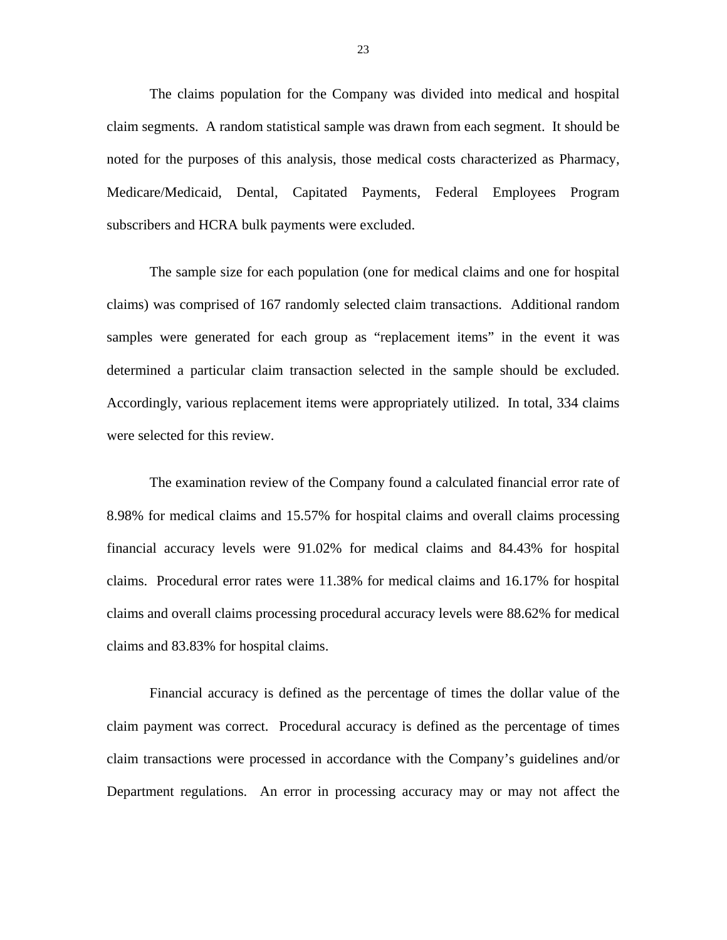The claims population for the Company was divided into medical and hospital claim segments. A random statistical sample was drawn from each segment. It should be noted for the purposes of this analysis, those medical costs characterized as Pharmacy, Medicare/Medicaid, Dental, Capitated Payments, Federal Employees Program subscribers and HCRA bulk payments were excluded.

The sample size for each population (one for medical claims and one for hospital claims) was comprised of 167 randomly selected claim transactions. Additional random samples were generated for each group as "replacement items" in the event it was determined a particular claim transaction selected in the sample should be excluded. Accordingly, various replacement items were appropriately utilized. In total, 334 claims were selected for this review.

The examination review of the Company found a calculated financial error rate of 8.98% for medical claims and 15.57% for hospital claims and overall claims processing financial accuracy levels were 91.02% for medical claims and 84.43% for hospital claims. Procedural error rates were 11.38% for medical claims and 16.17% for hospital claims and overall claims processing procedural accuracy levels were 88.62% for medical claims and 83.83% for hospital claims.

Financial accuracy is defined as the percentage of times the dollar value of the claim payment was correct. Procedural accuracy is defined as the percentage of times claim transactions were processed in accordance with the Company's guidelines and/or Department regulations. An error in processing accuracy may or may not affect the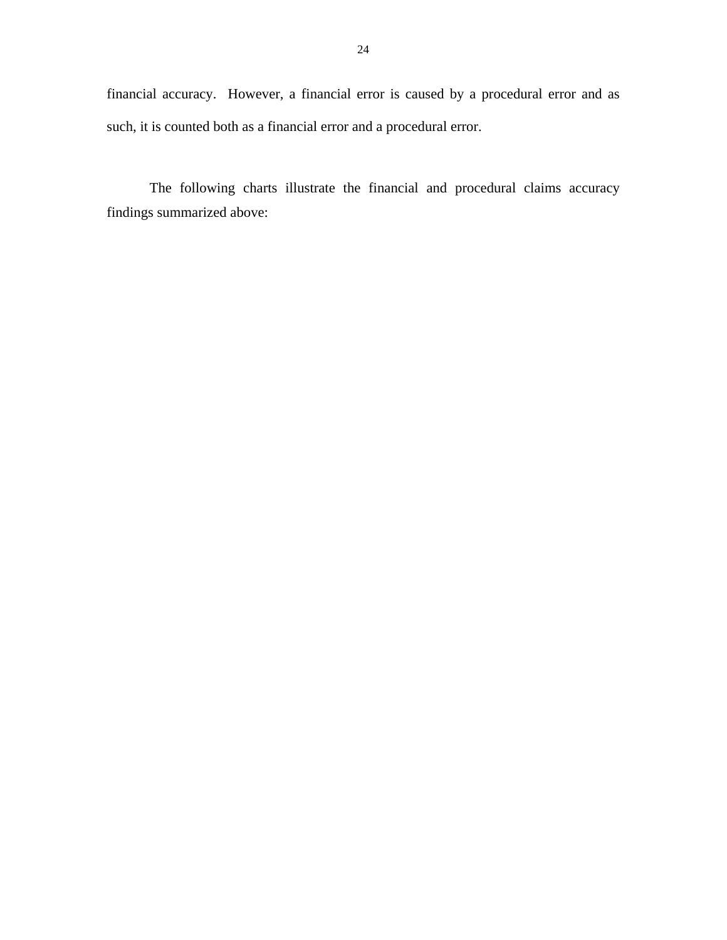such, it is counted both as a financial error and a procedural error. financial accuracy. However, a financial error is caused by a procedural error and as

The following charts illustrate the financial and procedural claims accuracy findings summarized above: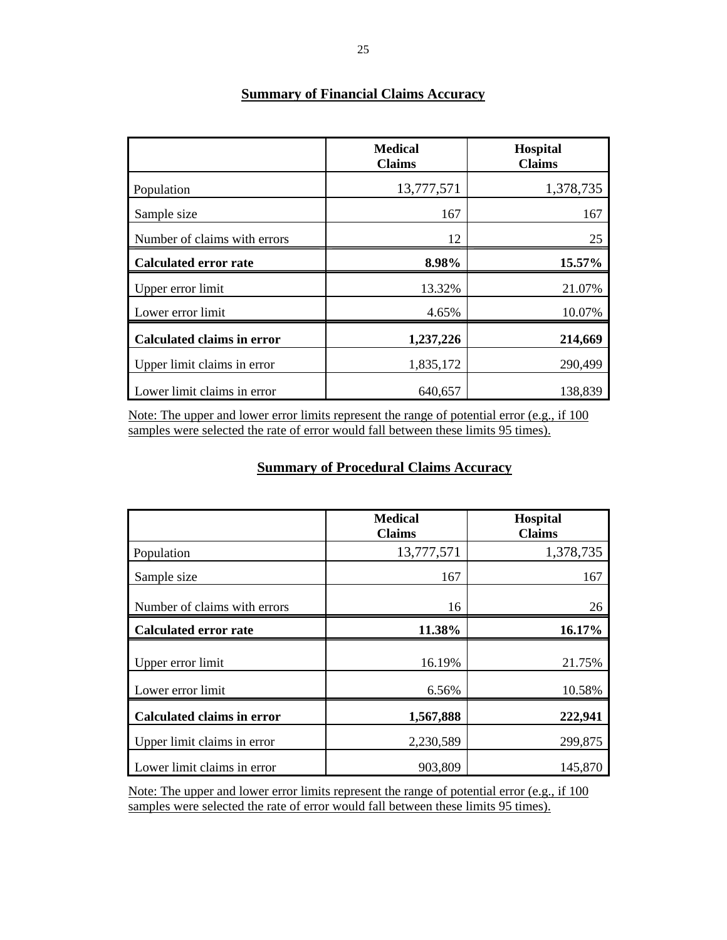|                                   | <b>Medical</b><br><b>Claims</b> | <b>Hospital</b><br><b>Claims</b> |
|-----------------------------------|---------------------------------|----------------------------------|
| Population                        | 13,777,571                      | 1,378,735                        |
| Sample size                       | 167                             | 167                              |
| Number of claims with errors      | 12                              | 25                               |
| <b>Calculated error rate</b>      | 8.98%                           | 15.57%                           |
| Upper error limit                 | 13.32%                          | 21.07%                           |
| Lower error limit                 | 4.65%                           | 10.07%                           |
| <b>Calculated claims in error</b> | 1,237,226                       | 214,669                          |
| Upper limit claims in error       | 1,835,172                       | 290,499                          |
| Lower limit claims in error       | 640,657                         | 138,839                          |

# **Summary of Financial Claims Accuracy**

Note: The upper and lower error limits represent the range of potential error (e.g., if 100 samples were selected the rate of error would fall between these limits 95 times).

# **Summary of Procedural Claims Accuracy**

|                                        | <b>Medical</b><br><b>Claims</b> | <b>Hospital</b><br><b>Claims</b> |
|----------------------------------------|---------------------------------|----------------------------------|
| Population                             | 13,777,571                      | 1,378,735                        |
| Sample size                            | 167                             | 167                              |
| Number of claims with errors           | 16                              | 26                               |
| <b>Calculated error rate</b>           | 11.38%                          | 16.17%                           |
| Upper error limit<br>Lower error limit | 16.19%<br>6.56%                 | 21.75%<br>10.58%                 |
| <b>Calculated claims in error</b>      | 1,567,888                       | 222,941                          |
| Upper limit claims in error            | 2,230,589                       | 299,875                          |
| Lower limit claims in error            | 903,809                         | 145,870                          |

Note: The upper and lower error limits represent the range of potential error (e.g., if 100 samples were selected the rate of error would fall between these limits 95 times).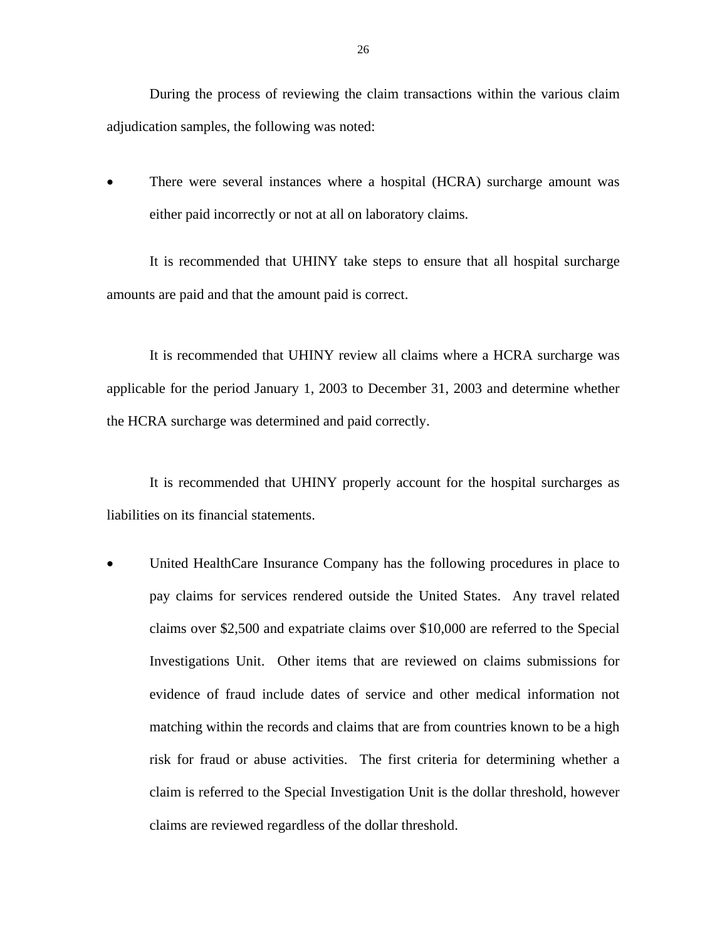During the process of reviewing the claim transactions within the various claim adjudication samples, the following was noted:

There were several instances where a hospital (HCRA) surcharge amount was either paid incorrectly or not at all on laboratory claims.

It is recommended that UHINY take steps to ensure that all hospital surcharge amounts are paid and that the amount paid is correct.

It is recommended that UHINY review all claims where a HCRA surcharge was applicable for the period January 1, 2003 to December 31, 2003 and determine whether the HCRA surcharge was determined and paid correctly.

It is recommended that UHINY properly account for the hospital surcharges as liabilities on its financial statements.

• United HealthCare Insurance Company has the following procedures in place to pay claims for services rendered outside the United States. Any travel related claims over \$2,500 and expatriate claims over \$10,000 are referred to the Special Investigations Unit. Other items that are reviewed on claims submissions for evidence of fraud include dates of service and other medical information not matching within the records and claims that are from countries known to be a high risk for fraud or abuse activities. The first criteria for determining whether a claim is referred to the Special Investigation Unit is the dollar threshold, however claims are reviewed regardless of the dollar threshold.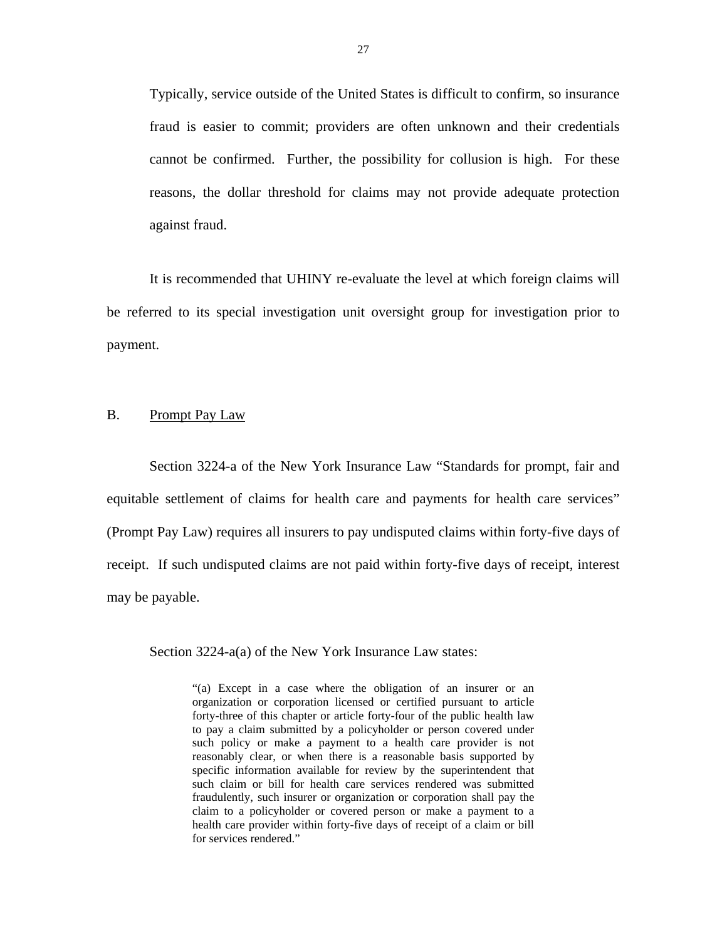<span id="page-28-0"></span>Typically, service outside of the United States is difficult to confirm, so insurance fraud is easier to commit; providers are often unknown and their credentials cannot be confirmed. Further, the possibility for collusion is high. For these reasons, the dollar threshold for claims may not provide adequate protection against fraud.

It is recommended that UHINY re-evaluate the level at which foreign claims will be referred to its special investigation unit oversight group for investigation prior to payment.

### B. Prompt Pay Law

Section 3224-a of the New York Insurance Law "Standards for prompt, fair and equitable settlement of claims for health care and payments for health care services" (Prompt Pay Law) requires all insurers to pay undisputed claims within forty-five days of receipt. If such undisputed claims are not paid within forty-five days of receipt, interest may be payable.

Section 3224-a(a) of the New York Insurance Law states:

"(a) Except in a case where the obligation of an insurer or an organization or corporation licensed or certified pursuant to article forty-three of this chapter or article forty-four of the public health law to pay a claim submitted by a policyholder or person covered under such policy or make a payment to a health care provider is not reasonably clear, or when there is a reasonable basis supported by specific information available for review by the superintendent that such claim or bill for health care services rendered was submitted fraudulently, such insurer or organization or corporation shall pay the claim to a policyholder or covered person or make a payment to a health care provider within forty-five days of receipt of a claim or bill for services rendered."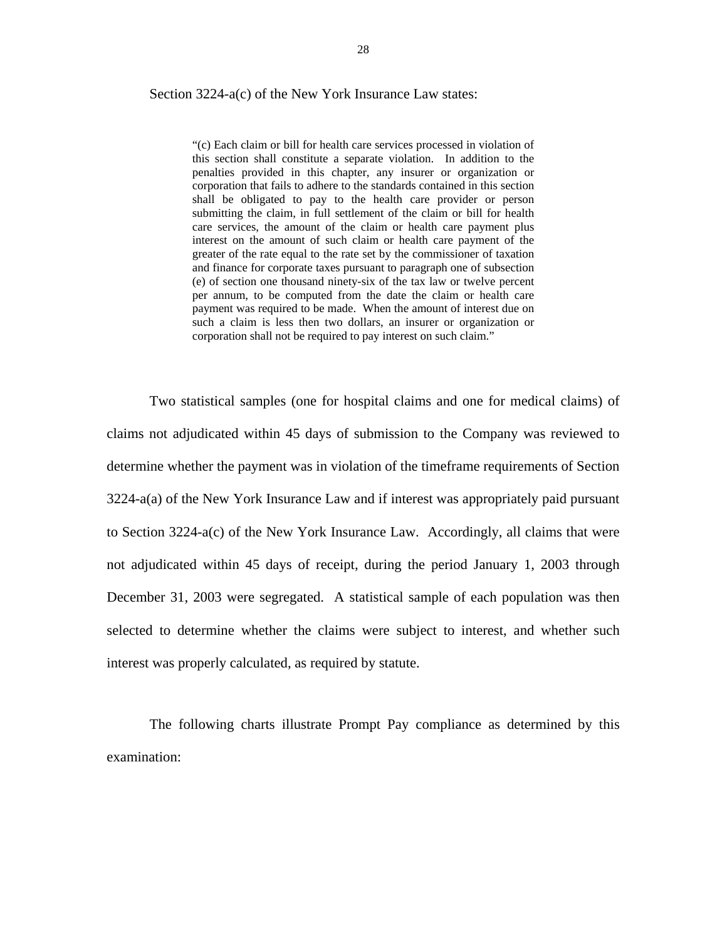### Section 3224-a(c) of the New York Insurance Law states:

 "(c) Each claim or bill for health care services processed in violation of payment was required to be made. When the amount of interest due on corporation shall not be required to pay interest on such claim." this section shall constitute a separate violation. In addition to the penalties provided in this chapter, any insurer or organization or corporation that fails to adhere to the standards contained in this section shall be obligated to pay to the health care provider or person submitting the claim, in full settlement of the claim or bill for health care services, the amount of the claim or health care payment plus interest on the amount of such claim or health care payment of the greater of the rate equal to the rate set by the commissioner of taxation and finance for corporate taxes pursuant to paragraph one of subsection (e) of section one thousand ninety-six of the tax law or twelve percent per annum, to be computed from the date the claim or health care such a claim is less then two dollars, an insurer or organization or

Two statistical samples (one for hospital claims and one for medical claims) of claims not adjudicated within 45 days of submission to the Company was reviewed to determine whether the payment was in violation of the timeframe requirements of Section 3224-a(a) of the New York Insurance Law and if interest was appropriately paid pursuant to Section 3224-a(c) of the New York Insurance Law. Accordingly, all claims that were not adjudicated within 45 days of receipt, during the period January 1, 2003 through December 31, 2003 were segregated. A statistical sample of each population was then selected to determine whether the claims were subject to interest, and whether such interest was properly calculated, as required by statute.

The following charts illustrate Prompt Pay compliance as determined by this examination: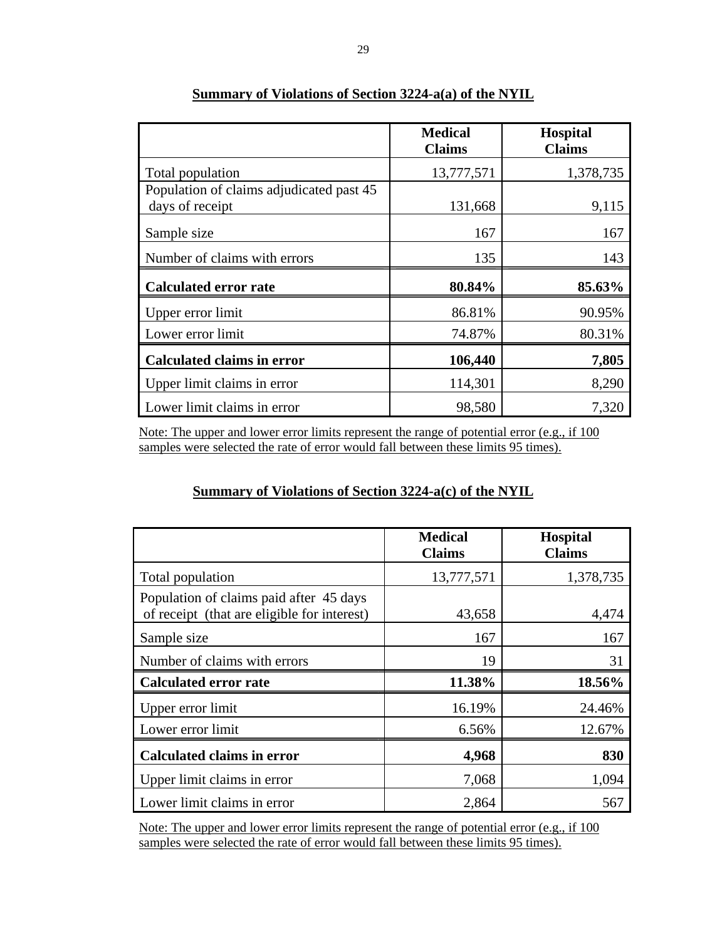|                                                             | <b>Medical</b><br><b>Claims</b> | <b>Hospital</b><br><b>Claims</b> |
|-------------------------------------------------------------|---------------------------------|----------------------------------|
| Total population                                            | 13,777,571                      | 1,378,735                        |
| Population of claims adjudicated past 45<br>days of receipt | 131,668                         | 9,115                            |
| Sample size                                                 | 167                             | 167                              |
| Number of claims with errors                                | 135                             | 143                              |
| <b>Calculated error rate</b>                                | 80.84%                          | 85.63%                           |
| Upper error limit                                           | 86.81%                          | 90.95%                           |
| Lower error limit                                           | 74.87%                          | 80.31%                           |
| <b>Calculated claims in error</b>                           | 106,440                         | 7,805                            |
| Upper limit claims in error                                 | 114,301                         | 8,290                            |
| Lower limit claims in error                                 | 98,580                          | 7,320                            |

# **Summary of Violations of Section 3224-a(a) of the NYIL**

Note: The upper and lower error limits represent the range of potential error (e.g., if 100 samples were selected the rate of error would fall between these limits 95 times).

# **Summary of Violations of Section 3224-a(c) of the NYIL**

|                                                                                        | <b>Medical</b><br><b>Claims</b> | Hospital<br><b>Claims</b> |
|----------------------------------------------------------------------------------------|---------------------------------|---------------------------|
| Total population                                                                       | 13,777,571                      | 1,378,735                 |
| Population of claims paid after 45 days<br>of receipt (that are eligible for interest) | 43,658                          | 4,474                     |
| Sample size                                                                            | 167                             | 167                       |
| Number of claims with errors                                                           | 19                              | 31                        |
| <b>Calculated error rate</b>                                                           | 11.38%                          | 18.56%                    |
| Upper error limit                                                                      | 16.19%                          | 24.46%                    |
| Lower error limit                                                                      | 6.56%                           | 12.67%                    |
| <b>Calculated claims in error</b>                                                      | 4,968                           | 830                       |
| Upper limit claims in error                                                            | 7,068                           | 1,094                     |
| Lower limit claims in error                                                            | 2,864                           | 567                       |

Note: The upper and lower error limits represent the range of potential error (e.g., if 100 samples were selected the rate of error would fall between these limits 95 times).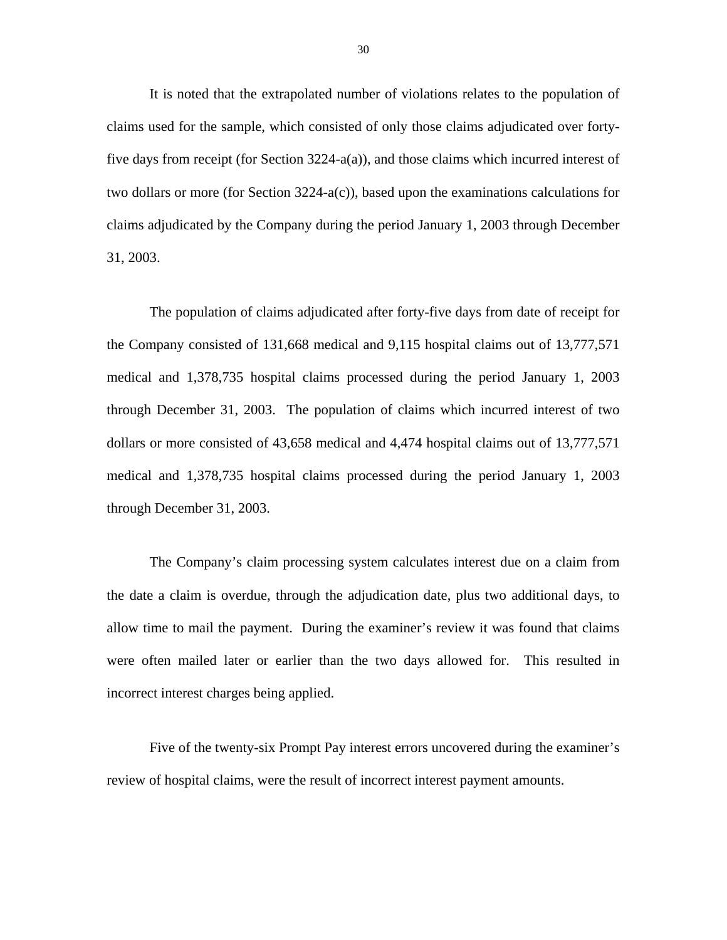It is noted that the extrapolated number of violations relates to the population of claims used for the sample, which consisted of only those claims adjudicated over fortyfive days from receipt (for Section 3224-a(a)), and those claims which incurred interest of two dollars or more (for Section 3224-a(c)), based upon the examinations calculations for claims adjudicated by the Company during the period January 1, 2003 through December 31, 2003.

The population of claims adjudicated after forty-five days from date of receipt for the Company consisted of 131,668 medical and 9,115 hospital claims out of 13,777,571 medical and 1,378,735 hospital claims processed during the period January 1, 2003 through December 31, 2003. The population of claims which incurred interest of two dollars or more consisted of 43,658 medical and 4,474 hospital claims out of 13,777,571 medical and 1,378,735 hospital claims processed during the period January 1, 2003 through December 31, 2003.

The Company's claim processing system calculates interest due on a claim from the date a claim is overdue, through the adjudication date, plus two additional days, to allow time to mail the payment. During the examiner's review it was found that claims were often mailed later or earlier than the two days allowed for. This resulted in incorrect interest charges being applied.

Five of the twenty-six Prompt Pay interest errors uncovered during the examiner's review of hospital claims, were the result of incorrect interest payment amounts.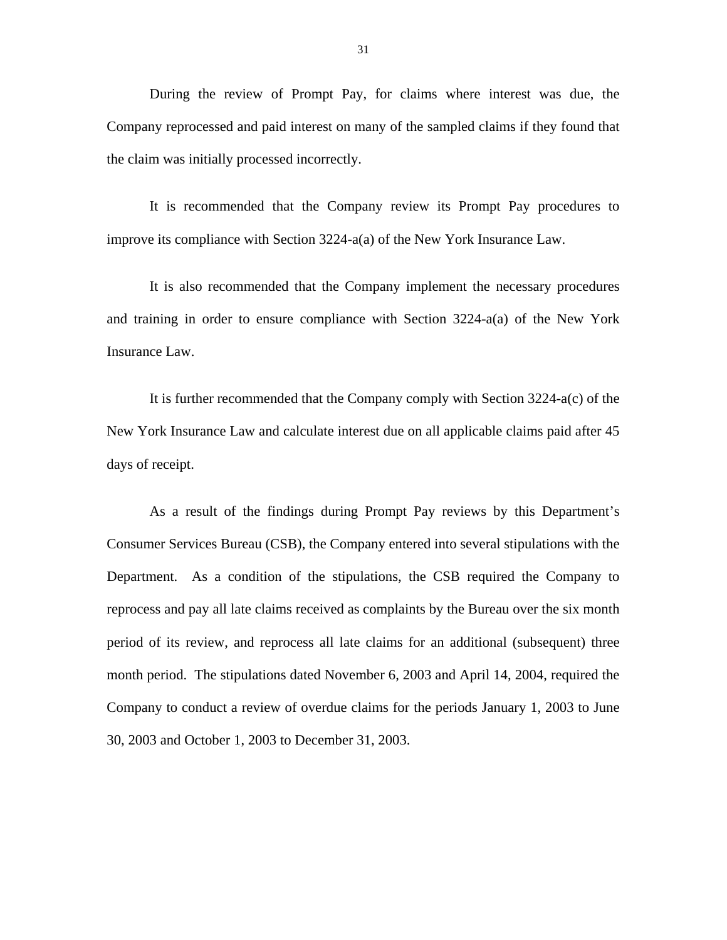During the review of Prompt Pay, for claims where interest was due, the Company reprocessed and paid interest on many of the sampled claims if they found that the claim was initially processed incorrectly.

It is recommended that the Company review its Prompt Pay procedures to improve its compliance with Section 3224-a(a) of the New York Insurance Law.

It is also recommended that the Company implement the necessary procedures and training in order to ensure compliance with Section 3224-a(a) of the New York Insurance Law.

It is further recommended that the Company comply with Section 3224-a(c) of the New York Insurance Law and calculate interest due on all applicable claims paid after 45 days of receipt.

As a result of the findings during Prompt Pay reviews by this Department's Consumer Services Bureau (CSB), the Company entered into several stipulations with the Department. As a condition of the stipulations, the CSB required the Company to reprocess and pay all late claims received as complaints by the Bureau over the six month period of its review, and reprocess all late claims for an additional (subsequent) three month period. The stipulations dated November 6, 2003 and April 14, 2004, required the Company to conduct a review of overdue claims for the periods January 1, 2003 to June 30, 2003 and October 1, 2003 to December 31, 2003.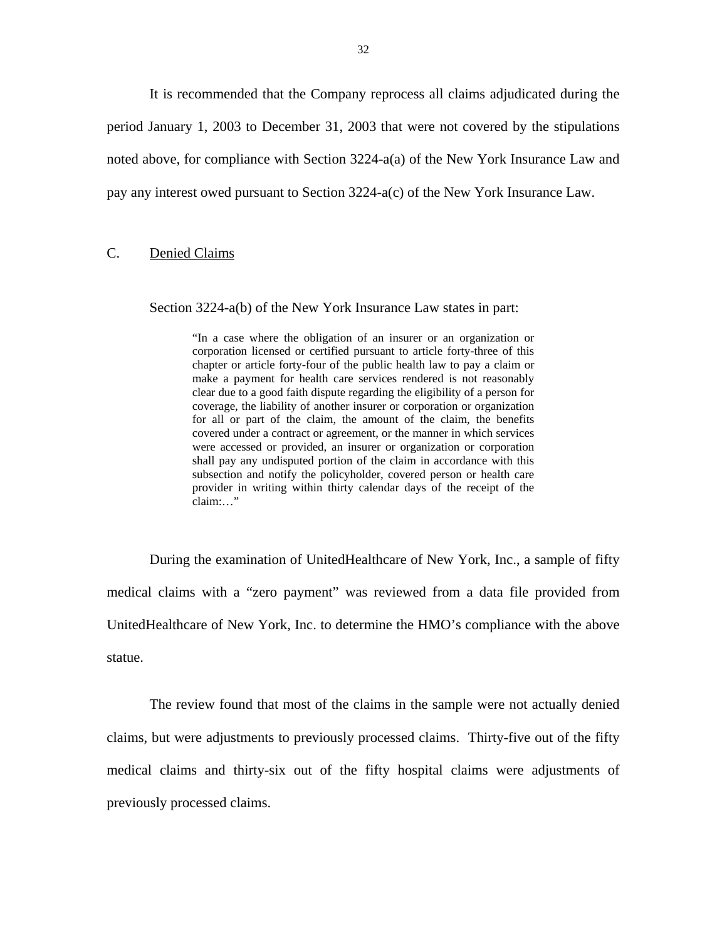<span id="page-33-0"></span>It is recommended that the Company reprocess all claims adjudicated during the period January 1, 2003 to December 31, 2003 that were not covered by the stipulations noted above, for compliance with Section 3224-a(a) of the New York Insurance Law and pay any interest owed pursuant to Section 3224-a(c) of the New York Insurance Law.

### C. Denied Claims

Section 3224-a(b) of the New York Insurance Law states in part:

 coverage, the liability of another insurer or corporation or organization for all or part of the claim, the amount of the claim, the benefits covered under a contract or agreement, or the manner in which services subsection and notify the policyholder, covered person or health care "In a case where the obligation of an insurer or an organization or corporation licensed or certified pursuant to article forty-three of this chapter or article forty-four of the public health law to pay a claim or make a payment for health care services rendered is not reasonably clear due to a good faith dispute regarding the eligibility of a person for were accessed or provided, an insurer or organization or corporation shall pay any undisputed portion of the claim in accordance with this provider in writing within thirty calendar days of the receipt of the claim:…"

During the examination of UnitedHealthcare of New York, Inc., a sample of fifty medical claims with a "zero payment" was reviewed from a data file provided from UnitedHealthcare of New York, Inc. to determine the HMO's compliance with the above statue.

The review found that most of the claims in the sample were not actually denied claims, but were adjustments to previously processed claims. Thirty-five out of the fifty medical claims and thirty-six out of the fifty hospital claims were adjustments of previously processed claims.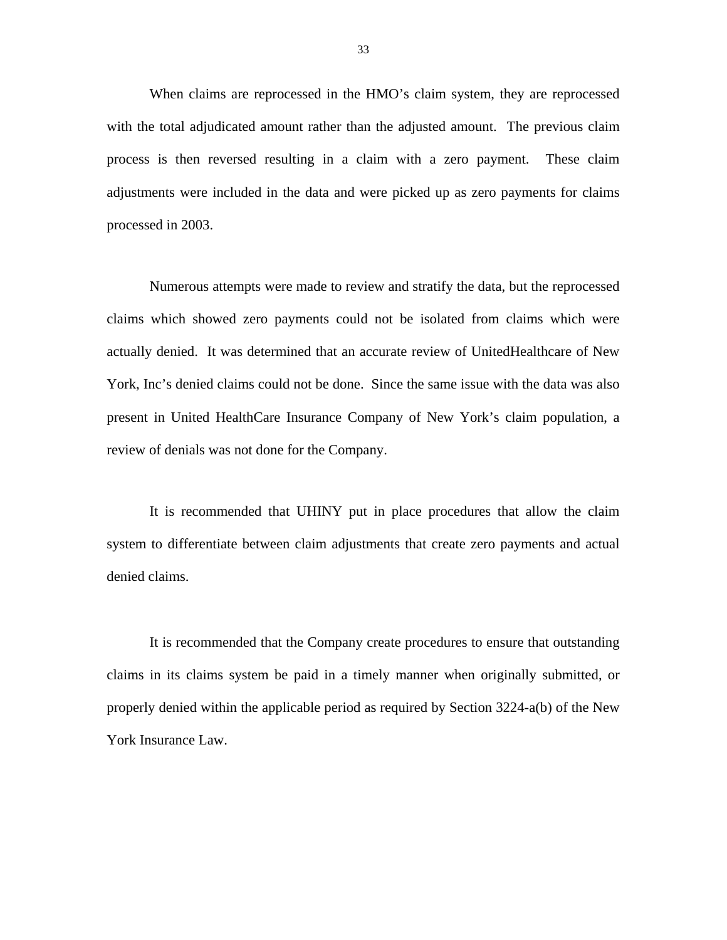When claims are reprocessed in the HMO's claim system, they are reprocessed with the total adjudicated amount rather than the adjusted amount. The previous claim process is then reversed resulting in a claim with a zero payment. These claim adjustments were included in the data and were picked up as zero payments for claims processed in 2003.

Numerous attempts were made to review and stratify the data, but the reprocessed claims which showed zero payments could not be isolated from claims which were actually denied. It was determined that an accurate review of UnitedHealthcare of New York, Inc's denied claims could not be done. Since the same issue with the data was also present in United HealthCare Insurance Company of New York's claim population, a review of denials was not done for the Company.

It is recommended that UHINY put in place procedures that allow the claim system to differentiate between claim adjustments that create zero payments and actual denied claims.

It is recommended that the Company create procedures to ensure that outstanding claims in its claims system be paid in a timely manner when originally submitted, or properly denied within the applicable period as required by Section 3224-a(b) of the New York Insurance Law.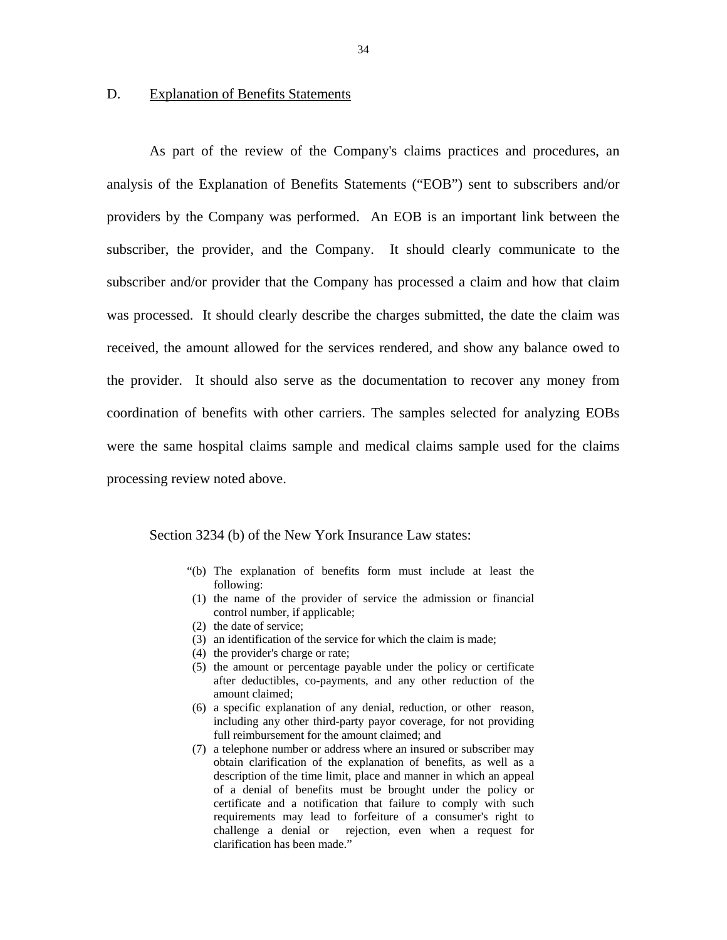### <span id="page-35-0"></span>D. Explanation of Benefits Statements

As part of the review of the Company's claims practices and procedures, an analysis of the Explanation of Benefits Statements ("EOB") sent to subscribers and/or providers by the Company was performed. An EOB is an important link between the subscriber, the provider, and the Company. It should clearly communicate to the subscriber and/or provider that the Company has processed a claim and how that claim was processed. It should clearly describe the charges submitted, the date the claim was received, the amount allowed for the services rendered, and show any balance owed to the provider. It should also serve as the documentation to recover any money from coordination of benefits with other carriers. The samples selected for analyzing EOBs were the same hospital claims sample and medical claims sample used for the claims processing review noted above.

Section 3234 (b) of the New York Insurance Law states:

- "(b) The explanation of benefits form must include at least the following:
- (1) the name of the provider of service the admission or financial control number, if applicable;
- (2) the date of service;
- (3) an identification of the service for which the claim is made;
- (4) the provider's charge or rate;
- (5) the amount or percentage payable under the policy or certificate after deductibles, co-payments, and any other reduction of the amount claimed;
- (6) a specific explanation of any denial, reduction, or other reason, including any other third-party payor coverage, for not providing full reimbursement for the amount claimed; and
- (7) a telephone number or address where an insured or subscriber may obtain clarification of the explanation of benefits, as well as a description of the time limit, place and manner in which an appeal of a denial of benefits must be brought under the policy or certificate and a notification that failure to comply with such requirements may lead to forfeiture of a consumer's right to challenge a denial or rejection, even when a request for clarification has been made."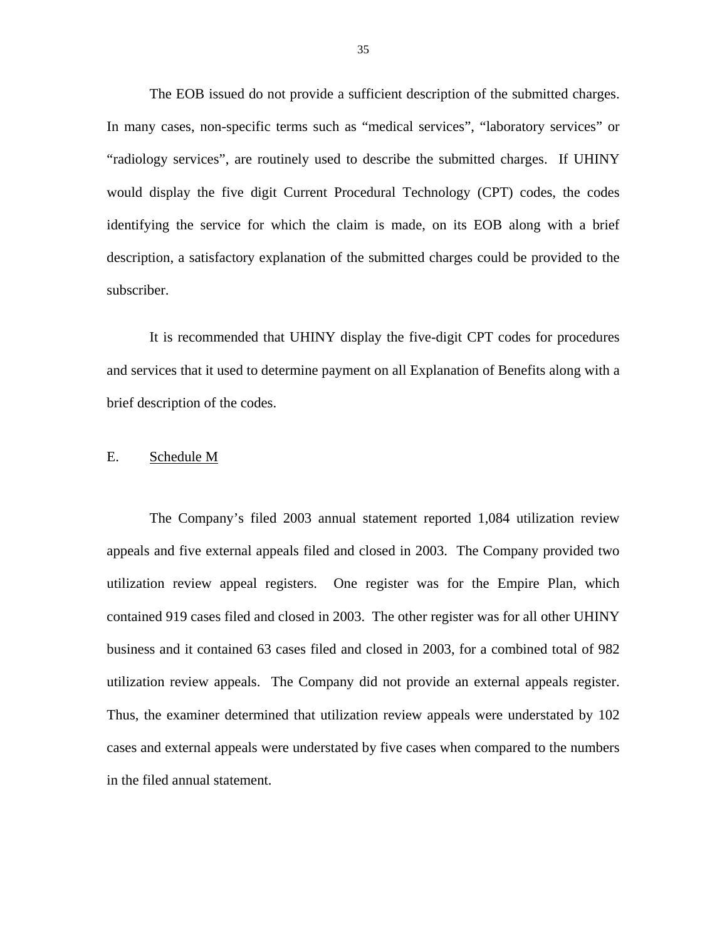<span id="page-36-0"></span>The EOB issued do not provide a sufficient description of the submitted charges. In many cases, non-specific terms such as "medical services", "laboratory services" or "radiology services", are routinely used to describe the submitted charges. If UHINY would display the five digit Current Procedural Technology (CPT) codes, the codes identifying the service for which the claim is made, on its EOB along with a brief description, a satisfactory explanation of the submitted charges could be provided to the subscriber.

It is recommended that UHINY display the five-digit CPT codes for procedures and services that it used to determine payment on all Explanation of Benefits along with a brief description of the codes.

# E. Schedule M

utilization review appeals. The Company did not provide an external appeals register. The Company's filed 2003 annual statement reported 1,084 utilization review appeals and five external appeals filed and closed in 2003. The Company provided two utilization review appeal registers. One register was for the Empire Plan, which contained 919 cases filed and closed in 2003. The other register was for all other UHINY business and it contained 63 cases filed and closed in 2003, for a combined total of 982 Thus, the examiner determined that utilization review appeals were understated by 102 cases and external appeals were understated by five cases when compared to the numbers in the filed annual statement.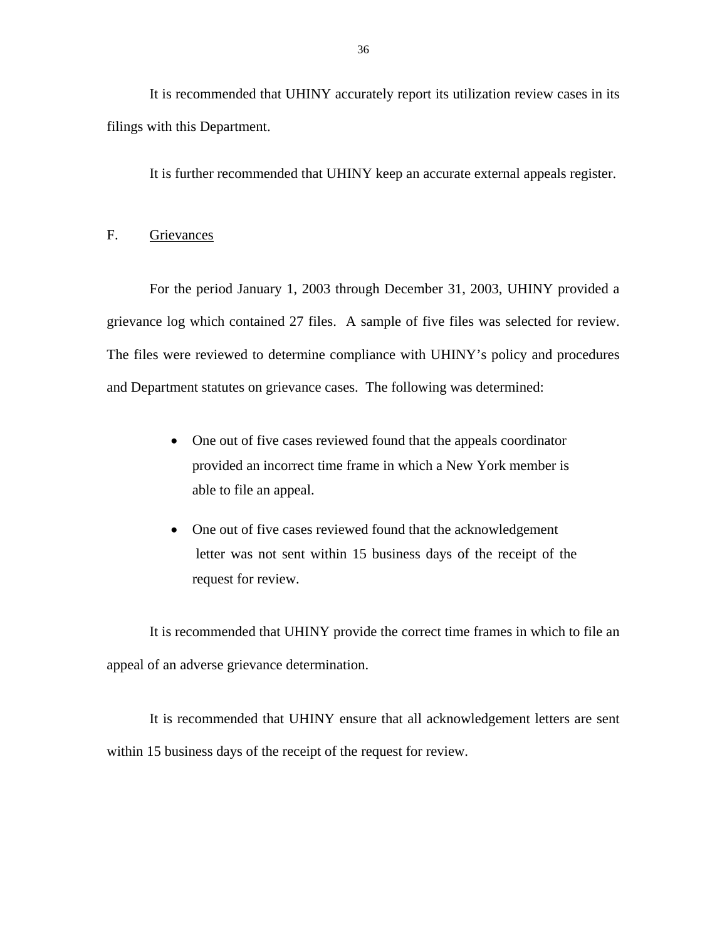<span id="page-37-0"></span>It is recommended that UHINY accurately report its utilization review cases in its filings with this Department.

It is further recommended that UHINY keep an accurate external appeals register.

### F. Grievances

For the period January 1, 2003 through December 31, 2003, UHINY provided a grievance log which contained 27 files. A sample of five files was selected for review. The files were reviewed to determine compliance with UHINY's policy and procedures and Department statutes on grievance cases. The following was determined:

- One out of five cases reviewed found that the appeals coordinator provided an incorrect time frame in which a New York member is able to file an appeal.
- One out of five cases reviewed found that the acknowledgement letter was not sent within 15 business days of the receipt of the request for review.

It is recommended that UHINY provide the correct time frames in which to file an appeal of an adverse grievance determination.

It is recommended that UHINY ensure that all acknowledgement letters are sent within 15 business days of the receipt of the request for review.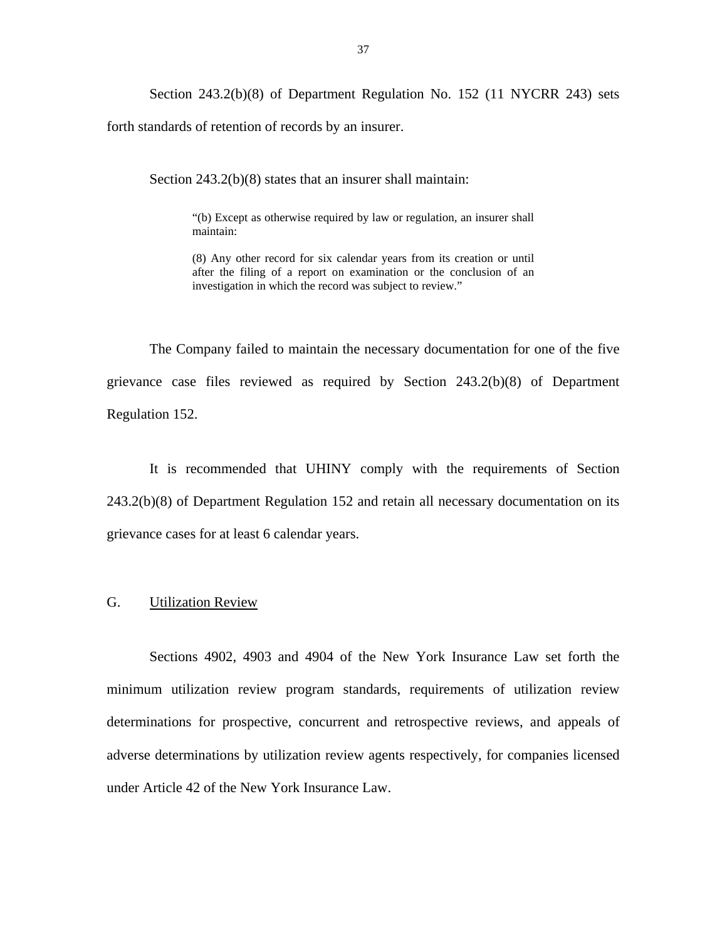<span id="page-38-0"></span>Section 243.2(b)(8) of Department Regulation No. 152 (11 NYCRR 243) sets forth standards of retention of records by an insurer.

Section 243.2(b)(8) states that an insurer shall maintain:

"(b) Except as otherwise required by law or regulation, an insurer shall maintain:

 (8) Any other record for six calendar years from its creation or until after the filing of a report on examination or the conclusion of an investigation in which the record was subject to review."

The Company failed to maintain the necessary documentation for one of the five grievance case files reviewed as required by Section 243.2(b)(8) of Department Regulation 152.

It is recommended that UHINY comply with the requirements of Section 243.2(b)(8) of Department Regulation 152 and retain all necessary documentation on its grievance cases for at least 6 calendar years.

### G. Utilization Review

Sections 4902, 4903 and 4904 of the New York Insurance Law set forth the minimum utilization review program standards, requirements of utilization review determinations for prospective, concurrent and retrospective reviews, and appeals of adverse determinations by utilization review agents respectively, for companies licensed under Article 42 of the New York Insurance Law.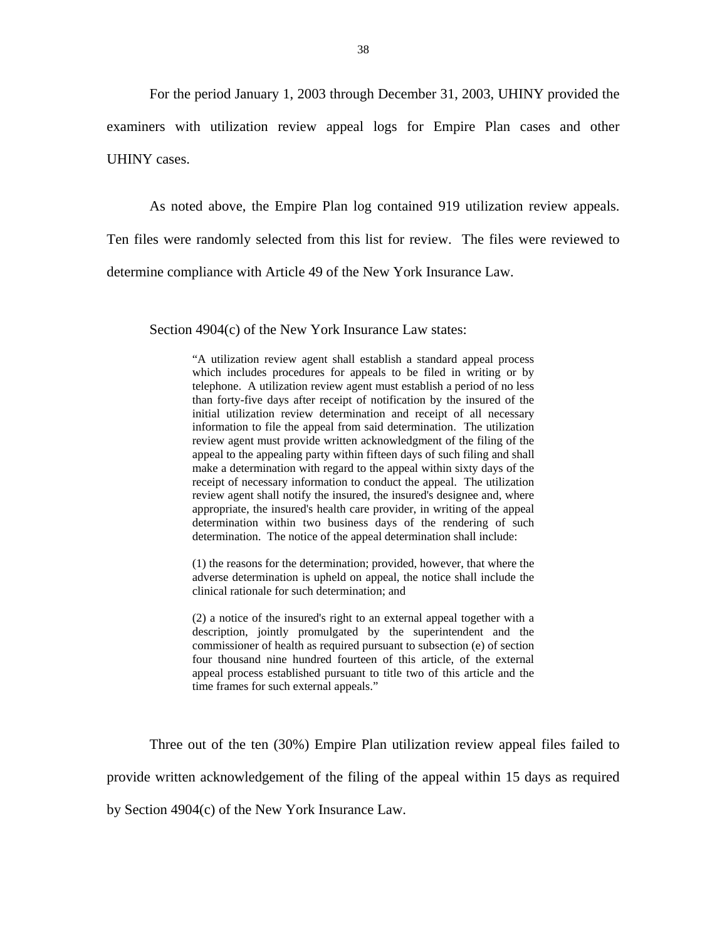For the period January 1, 2003 through December 31, 2003, UHINY provided the examiners with utilization review appeal logs for Empire Plan cases and other UHINY cases.

As noted above, the Empire Plan log contained 919 utilization review appeals. Ten files were randomly selected from this list for review. The files were reviewed to determine compliance with Article 49 of the New York Insurance Law.

Section 4904(c) of the New York Insurance Law states:

 which includes procedures for appeals to be filed in writing or by review agent must provide written acknowledgment of the filing of the appeal to the appealing party within fifteen days of such filing and shall appropriate, the insured's health care provider, in writing of the appeal "A utilization review agent shall establish a standard appeal process telephone. A utilization review agent must establish a period of no less than forty-five days after receipt of notification by the insured of the initial utilization review determination and receipt of all necessary information to file the appeal from said determination. The utilization make a determination with regard to the appeal within sixty days of the receipt of necessary information to conduct the appeal. The utilization review agent shall notify the insured, the insured's designee and, where determination within two business days of the rendering of such determination. The notice of the appeal determination shall include:

(1) the reasons for the determination; provided, however, that where the adverse determination is upheld on appeal, the notice shall include the clinical rationale for such determination; and

(2) a notice of the insured's right to an external appeal together with a description, jointly promulgated by the superintendent and the commissioner of health as required pursuant to subsection (e) of section four thousand nine hundred fourteen of this article, of the external appeal process established pursuant to title two of this article and the time frames for such external appeals."

Three out of the ten (30%) Empire Plan utilization review appeal files failed to

provide written acknowledgement of the filing of the appeal within 15 days as required

by Section 4904(c) of the New York Insurance Law.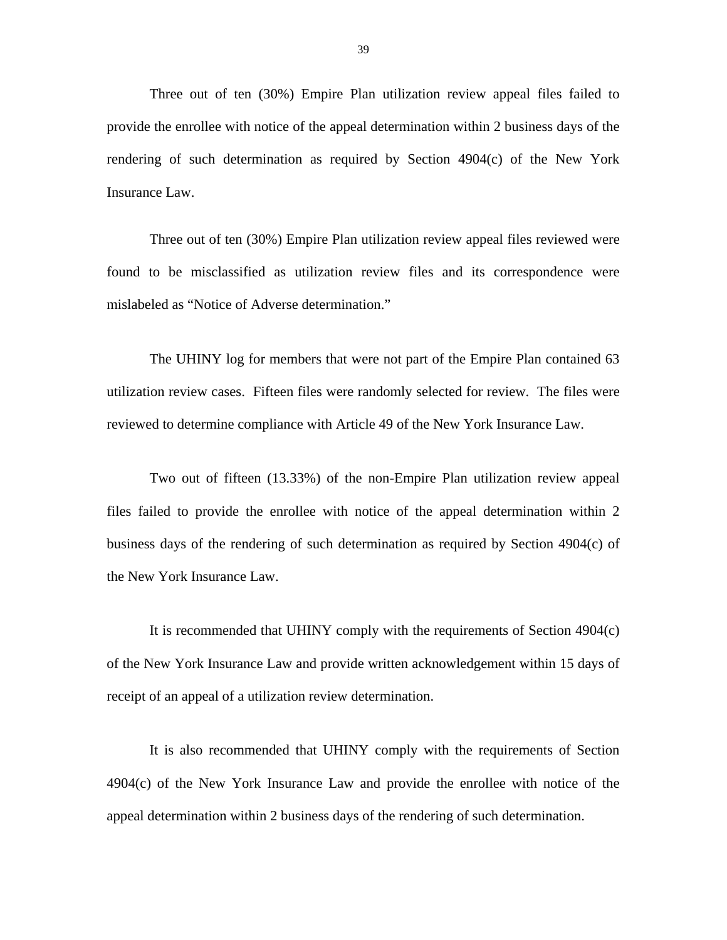Three out of ten (30%) Empire Plan utilization review appeal files failed to provide the enrollee with notice of the appeal determination within 2 business days of the rendering of such determination as required by Section 4904(c) of the New York Insurance Law.

Three out of ten (30%) Empire Plan utilization review appeal files reviewed were found to be misclassified as utilization review files and its correspondence were mislabeled as "Notice of Adverse determination."

The UHINY log for members that were not part of the Empire Plan contained 63 utilization review cases. Fifteen files were randomly selected for review. The files were reviewed to determine compliance with Article 49 of the New York Insurance Law.

Two out of fifteen (13.33%) of the non-Empire Plan utilization review appeal files failed to provide the enrollee with notice of the appeal determination within 2 business days of the rendering of such determination as required by Section 4904(c) of the New York Insurance Law.

It is recommended that UHINY comply with the requirements of Section 4904(c) of the New York Insurance Law and provide written acknowledgement within 15 days of receipt of an appeal of a utilization review determination.

It is also recommended that UHINY comply with the requirements of Section 4904(c) of the New York Insurance Law and provide the enrollee with notice of the appeal determination within 2 business days of the rendering of such determination.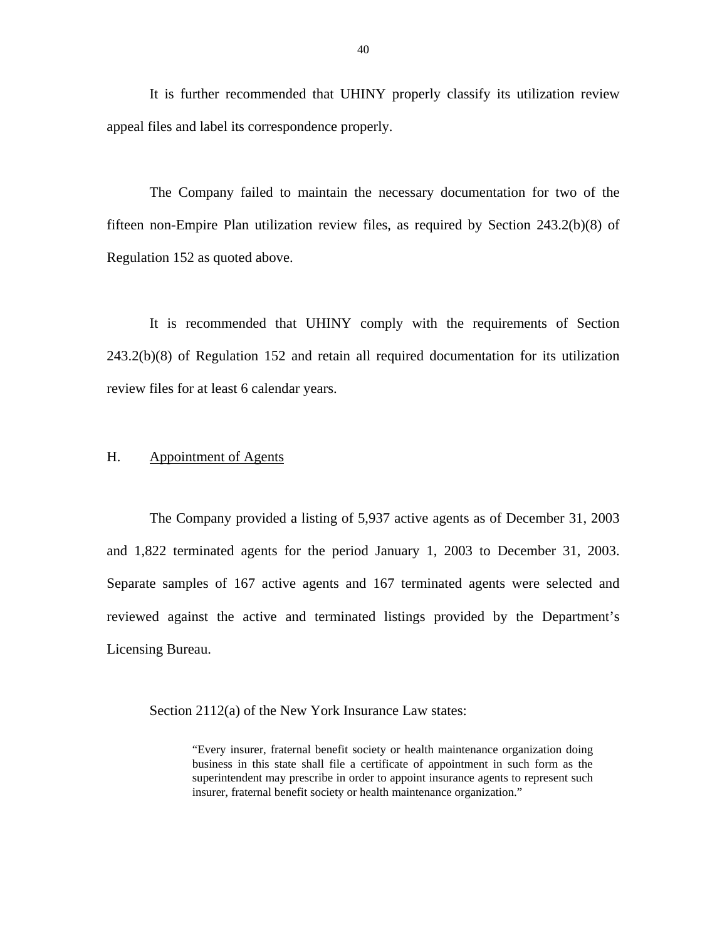<span id="page-41-0"></span>It is further recommended that UHINY properly classify its utilization review appeal files and label its correspondence properly.

The Company failed to maintain the necessary documentation for two of the fifteen non-Empire Plan utilization review files, as required by Section 243.2(b)(8) of Regulation 152 as quoted above.

It is recommended that UHINY comply with the requirements of Section 243.2(b)(8) of Regulation 152 and retain all required documentation for its utilization review files for at least 6 calendar years.

# H. Appointment of Agents

The Company provided a listing of 5,937 active agents as of December 31, 2003 and 1,822 terminated agents for the period January 1, 2003 to December 31, 2003. Separate samples of 167 active agents and 167 terminated agents were selected and reviewed against the active and terminated listings provided by the Department's Licensing Bureau.

Section 2112(a) of the New York Insurance Law states:

"Every insurer, fraternal benefit society or health maintenance organization doing business in this state shall file a certificate of appointment in such form as the superintendent may prescribe in order to appoint insurance agents to represent such insurer, fraternal benefit society or health maintenance organization."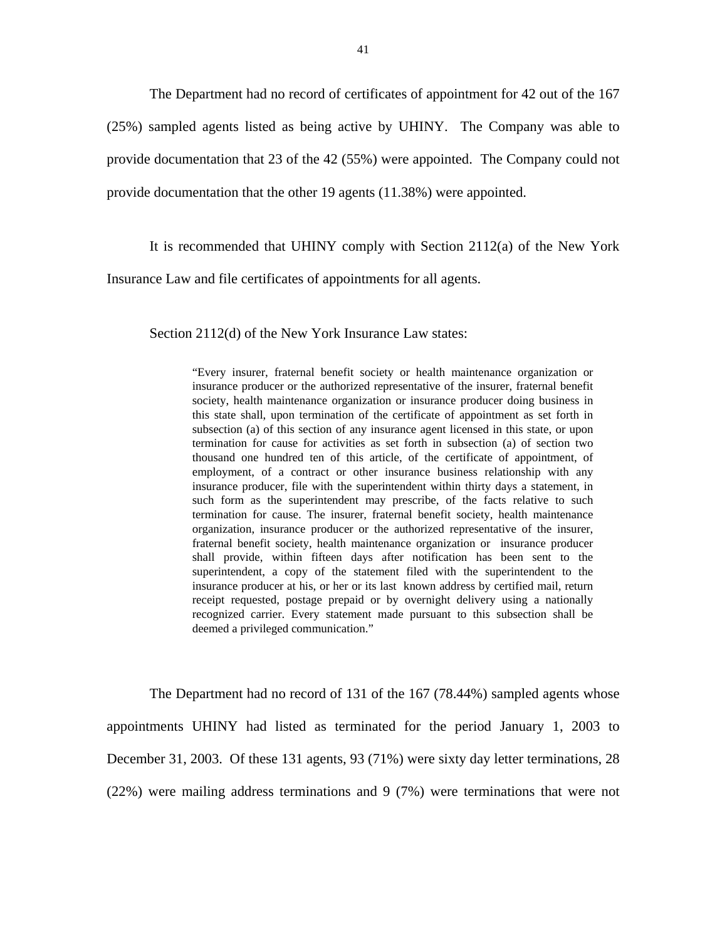The Department had no record of certificates of appointment for 42 out of the 167 (25%) sampled agents listed as being active by UHINY. The Company was able to provide documentation that 23 of the 42 (55%) were appointed. The Company could not provide documentation that the other 19 agents (11.38%) were appointed.

It is recommended that UHINY comply with Section 2112(a) of the New York

Insurance Law and file certificates of appointments for all agents.

Section 2112(d) of the New York Insurance Law states:

 subsection (a) of this section of any insurance agent licensed in this state, or upon shall provide, within fifteen days after notification has been sent to the "Every insurer, fraternal benefit society or health maintenance organization or insurance producer or the authorized representative of the insurer, fraternal benefit society, health maintenance organization or insurance producer doing business in this state shall, upon termination of the certificate of appointment as set forth in termination for cause for activities as set forth in subsection (a) of section two thousand one hundred ten of this article, of the certificate of appointment, of employment, of a contract or other insurance business relationship with any insurance producer, file with the superintendent within thirty days a statement, in such form as the superintendent may prescribe, of the facts relative to such termination for cause. The insurer, fraternal benefit society, health maintenance organization, insurance producer or the authorized representative of the insurer, fraternal benefit society, health maintenance organization or insurance producer superintendent, a copy of the statement filed with the superintendent to the insurance producer at his, or her or its last known address by certified mail, return receipt requested, postage prepaid or by overnight delivery using a nationally recognized carrier. Every statement made pursuant to this subsection shall be deemed a privileged communication."

The Department had no record of 131 of the 167 (78.44%) sampled agents whose appointments UHINY had listed as terminated for the period January 1, 2003 to December 31, 2003. Of these 131 agents, 93 (71%) were sixty day letter terminations, 28 (22%) were mailing address terminations and 9 (7%) were terminations that were not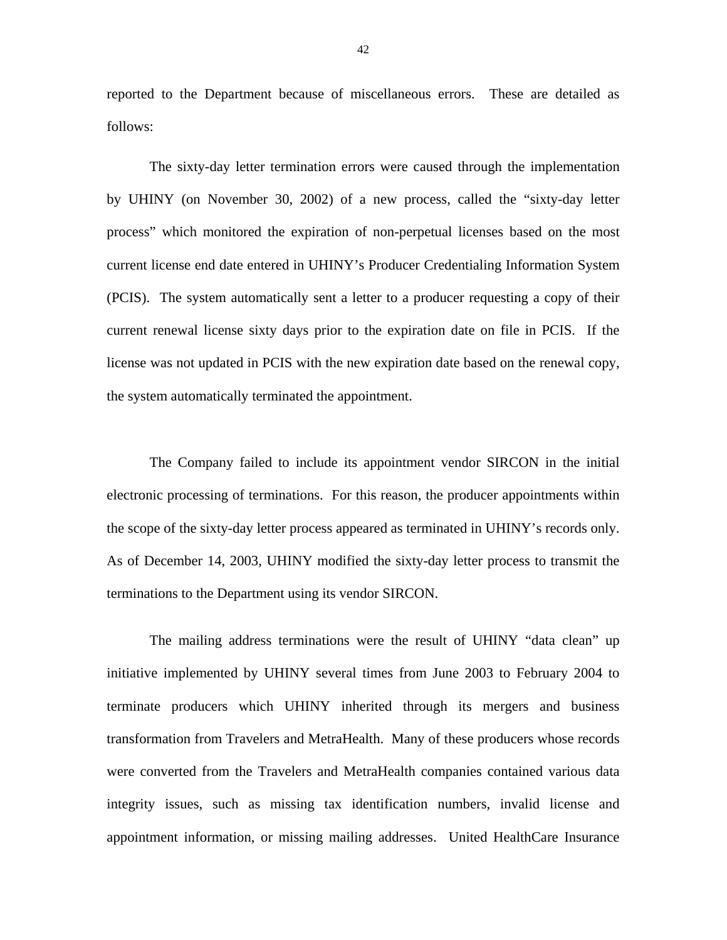reported to the Department because of miscellaneous errors. These are detailed as follows:

The sixty-day letter termination errors were caused through the implementation by UHINY (on November 30, 2002) of a new process, called the "sixty-day letter process" which monitored the expiration of non-perpetual licenses based on the most current license end date entered in UHINY's Producer Credentialing Information System (PCIS). The system automatically sent a letter to a producer requesting a copy of their current renewal license sixty days prior to the expiration date on file in PCIS. If the license was not updated in PCIS with the new expiration date based on the renewal copy, the system automatically terminated the appointment.

The Company failed to include its appointment vendor SIRCON in the initial electronic processing of terminations. For this reason, the producer appointments within the scope of the sixty-day letter process appeared as terminated in UHINY's records only. As of December 14, 2003, UHINY modified the sixty-day letter process to transmit the terminations to the Department using its vendor SIRCON.

The mailing address terminations were the result of UHINY "data clean" up initiative implemented by UHINY several times from June 2003 to February 2004 to terminate producers which UHINY inherited through its mergers and business transformation from Travelers and MetraHealth. Many of these producers whose records were converted from the Travelers and MetraHealth companies contained various data integrity issues, such as missing tax identification numbers, invalid license and appointment information, or missing mailing addresses. United HealthCare Insurance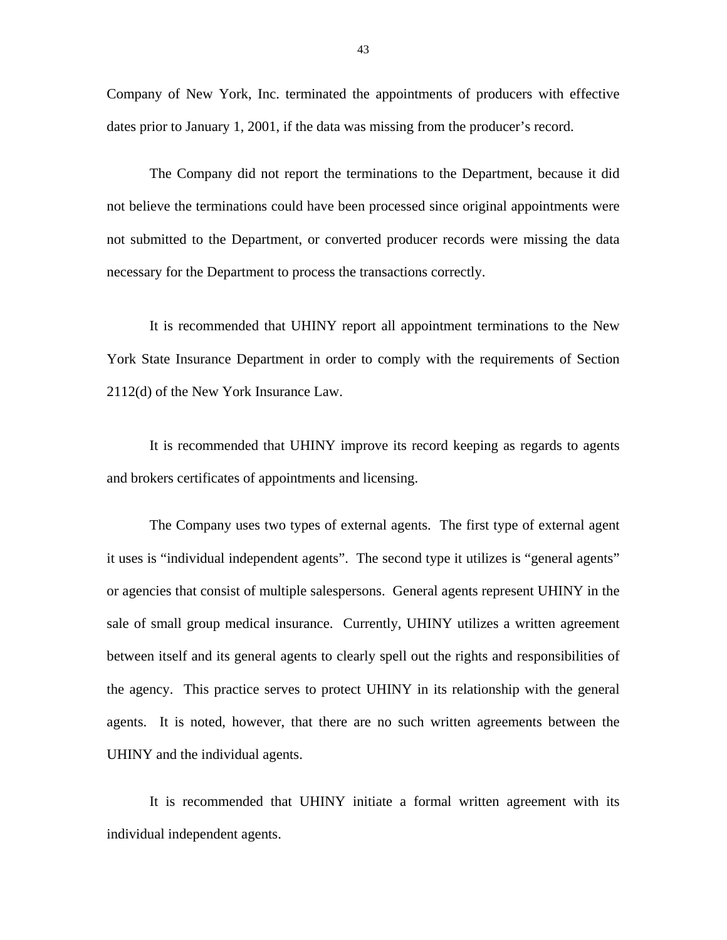Company of New York, Inc. terminated the appointments of producers with effective dates prior to January 1, 2001, if the data was missing from the producer's record.

The Company did not report the terminations to the Department, because it did not believe the terminations could have been processed since original appointments were not submitted to the Department, or converted producer records were missing the data necessary for the Department to process the transactions correctly.

It is recommended that UHINY report all appointment terminations to the New York State Insurance Department in order to comply with the requirements of Section 2112(d) of the New York Insurance Law.

It is recommended that UHINY improve its record keeping as regards to agents and brokers certificates of appointments and licensing.

The Company uses two types of external agents. The first type of external agent it uses is "individual independent agents". The second type it utilizes is "general agents" or agencies that consist of multiple salespersons. General agents represent UHINY in the sale of small group medical insurance. Currently, UHINY utilizes a written agreement between itself and its general agents to clearly spell out the rights and responsibilities of the agency. This practice serves to protect UHINY in its relationship with the general agents. It is noted, however, that there are no such written agreements between the UHINY and the individual agents.

It is recommended that UHINY initiate a formal written agreement with its individual independent agents.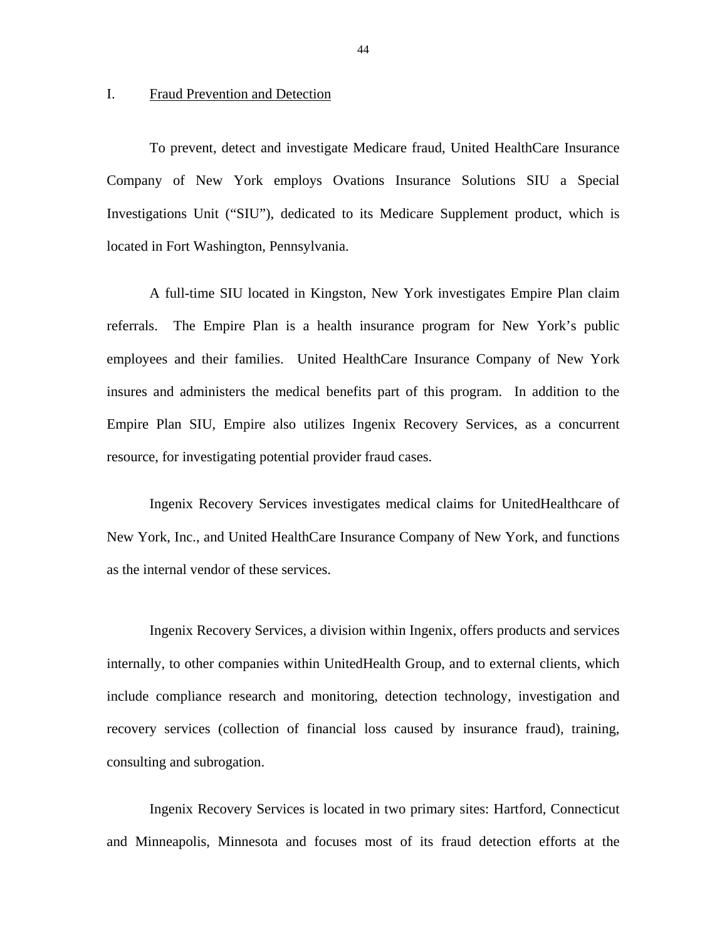### <span id="page-45-0"></span>I. Fraud Prevention and Detection

To prevent, detect and investigate Medicare fraud, United HealthCare Insurance Company of New York employs Ovations Insurance Solutions SIU a Special Investigations Unit ("SIU"), dedicated to its Medicare Supplement product, which is located in Fort Washington, Pennsylvania.

A full-time SIU located in Kingston, New York investigates Empire Plan claim referrals. The Empire Plan is a health insurance program for New York's public employees and their families. United HealthCare Insurance Company of New York insures and administers the medical benefits part of this program. In addition to the Empire Plan SIU, Empire also utilizes Ingenix Recovery Services, as a concurrent resource, for investigating potential provider fraud cases.

Ingenix Recovery Services investigates medical claims for UnitedHealthcare of New York, Inc., and United HealthCare Insurance Company of New York, and functions as the internal vendor of these services.

Ingenix Recovery Services, a division within Ingenix, offers products and services internally, to other companies within UnitedHealth Group, and to external clients, which include compliance research and monitoring, detection technology, investigation and recovery services (collection of financial loss caused by insurance fraud), training, consulting and subrogation.

Ingenix Recovery Services is located in two primary sites: Hartford, Connecticut and Minneapolis, Minnesota and focuses most of its fraud detection efforts at the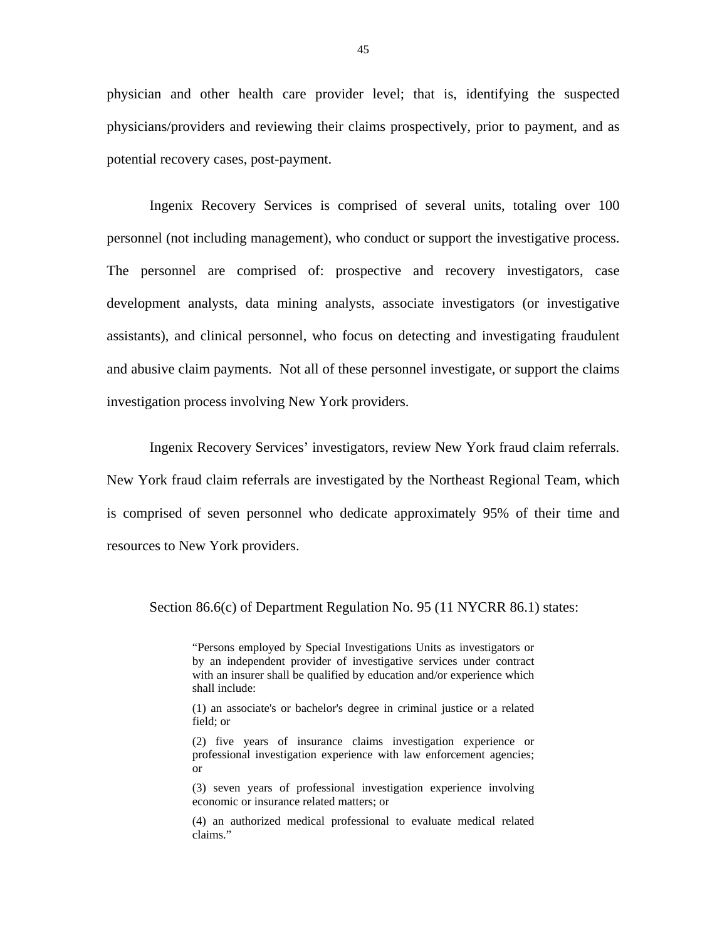physician and other health care provider level; that is, identifying the suspected physicians/providers and reviewing their claims prospectively, prior to payment, and as potential recovery cases, post-payment.

Ingenix Recovery Services is comprised of several units, totaling over 100 personnel (not including management), who conduct or support the investigative process. The personnel are comprised of: prospective and recovery investigators, case development analysts, data mining analysts, associate investigators (or investigative assistants), and clinical personnel, who focus on detecting and investigating fraudulent and abusive claim payments. Not all of these personnel investigate, or support the claims investigation process involving New York providers.

Ingenix Recovery Services' investigators, review New York fraud claim referrals. New York fraud claim referrals are investigated by the Northeast Regional Team, which is comprised of seven personnel who dedicate approximately 95% of their time and resources to New York providers.

Section 86.6(c) of Department Regulation No. 95 (11 NYCRR 86.1) states:

 by an independent provider of investigative services under contract "Persons employed by Special Investigations Units as investigators or with an insurer shall be qualified by education and/or experience which shall include:

(1) an associate's or bachelor's degree in criminal justice or a related field; or

(2) five years of insurance claims investigation experience or professional investigation experience with law enforcement agencies; or

(3) seven years of professional investigation experience involving economic or insurance related matters; or

(4) an authorized medical professional to evaluate medical related claims."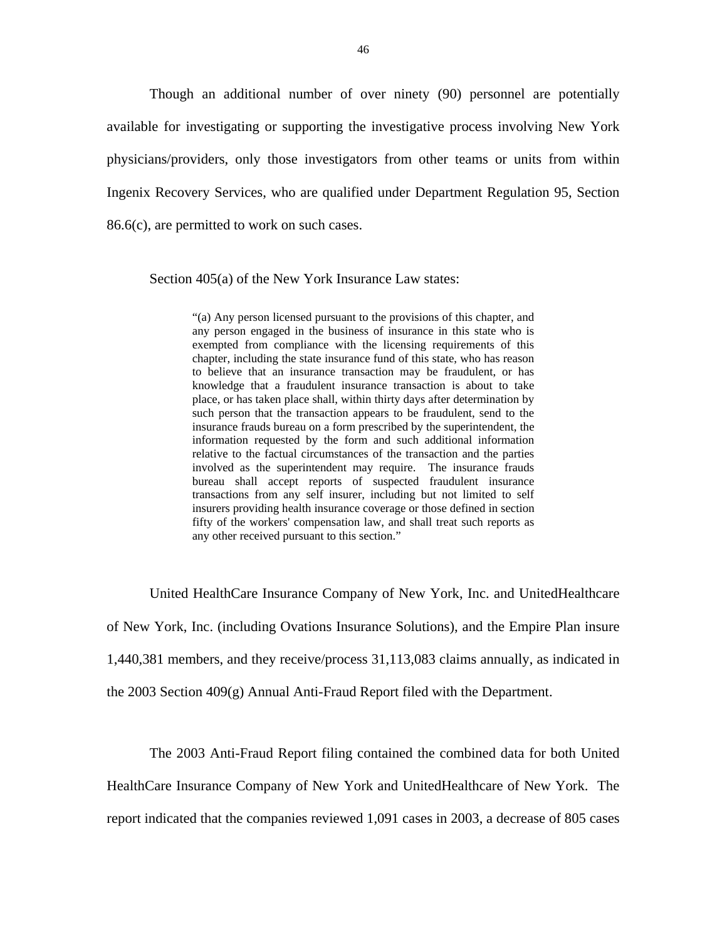Though an additional number of over ninety (90) personnel are potentially available for investigating or supporting the investigative process involving New York physicians/providers, only those investigators from other teams or units from within Ingenix Recovery Services, who are qualified under Department Regulation 95, Section 86.6(c), are permitted to work on such cases.

Section 405(a) of the New York Insurance Law states:

"(a) Any person licensed pursuant to the provisions of this chapter, and any person engaged in the business of insurance in this state who is exempted from compliance with the licensing requirements of this chapter, including the state insurance fund of this state, who has reason to believe that an insurance transaction may be fraudulent, or has knowledge that a fraudulent insurance transaction is about to take place, or has taken place shall, within thirty days after determination by such person that the transaction appears to be fraudulent, send to the insurance frauds bureau on a form prescribed by the superintendent, the information requested by the form and such additional information relative to the factual circumstances of the transaction and the parties involved as the superintendent may require. The insurance frauds bureau shall accept reports of suspected fraudulent insurance transactions from any self insurer, including but not limited to self insurers providing health insurance coverage or those defined in section fifty of the workers' compensation law, and shall treat such reports as any other received pursuant to this section."

United HealthCare Insurance Company of New York, Inc. and UnitedHealthcare of New York, Inc. (including Ovations Insurance Solutions), and the Empire Plan insure 1,440,381 members, and they receive/process 31,113,083 claims annually, as indicated in the 2003 Section  $409(g)$  Annual Anti-Fraud Report filed with the Department.

The 2003 Anti-Fraud Report filing contained the combined data for both United HealthCare Insurance Company of New York and UnitedHealthcare of New York. The report indicated that the companies reviewed 1,091 cases in 2003, a decrease of 805 cases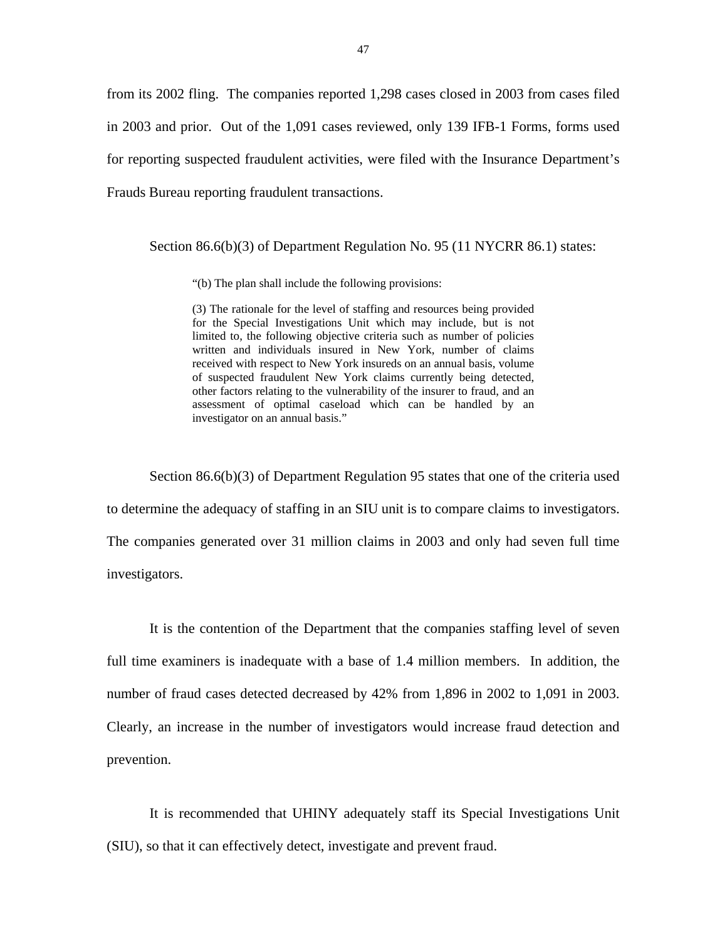from its 2002 fling. The companies reported 1,298 cases closed in 2003 from cases filed in 2003 and prior. Out of the 1,091 cases reviewed, only 139 IFB-1 Forms, forms used for reporting suspected fraudulent activities, were filed with the Insurance Department's Frauds Bureau reporting fraudulent transactions.

Section 86.6(b)(3) of Department Regulation No. 95 (11 NYCRR 86.1) states:

"(b) The plan shall include the following provisions:

(3) The rationale for the level of staffing and resources being provided for the Special Investigations Unit which may include, but is not limited to, the following objective criteria such as number of policies written and individuals insured in New York, number of claims received with respect to New York insureds on an annual basis, volume of suspected fraudulent New York claims currently being detected, other factors relating to the vulnerability of the insurer to fraud, and an assessment of optimal caseload which can be handled by an investigator on an annual basis."

Section 86.6(b)(3) of Department Regulation 95 states that one of the criteria used to determine the adequacy of staffing in an SIU unit is to compare claims to investigators. The companies generated over 31 million claims in 2003 and only had seven full time investigators.

It is the contention of the Department that the companies staffing level of seven full time examiners is inadequate with a base of 1.4 million members. In addition, the number of fraud cases detected decreased by 42% from 1,896 in 2002 to 1,091 in 2003. Clearly, an increase in the number of investigators would increase fraud detection and prevention.

It is recommended that UHINY adequately staff its Special Investigations Unit (SIU), so that it can effectively detect, investigate and prevent fraud.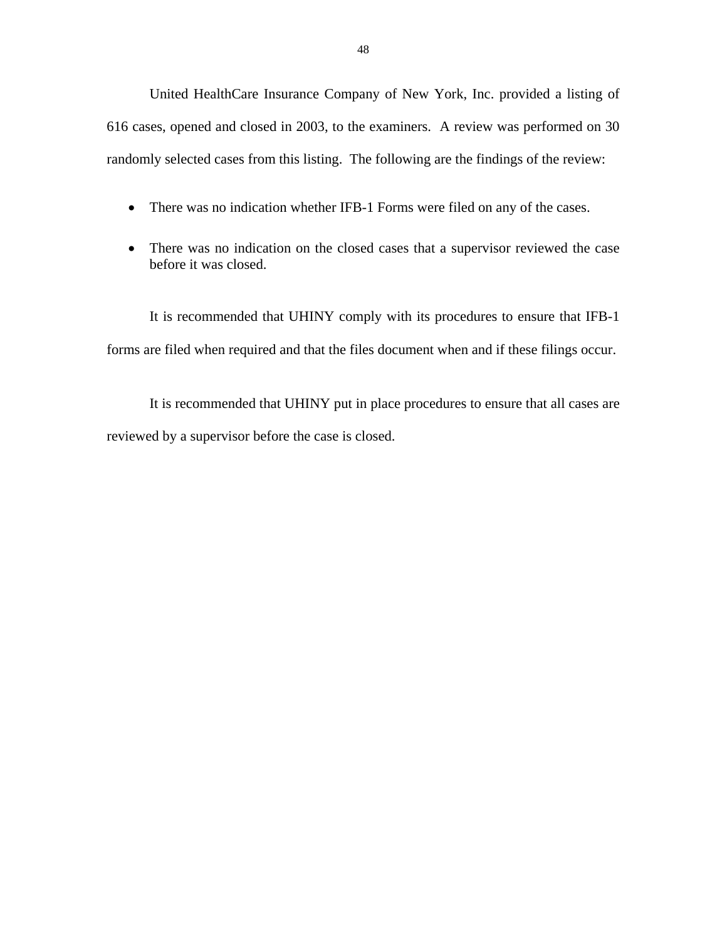United HealthCare Insurance Company of New York, Inc. provided a listing of 616 cases, opened and closed in 2003, to the examiners. A review was performed on 30 randomly selected cases from this listing. The following are the findings of the review:

- There was no indication whether IFB-1 Forms were filed on any of the cases.
- There was no indication on the closed cases that a supervisor reviewed the case before it was closed.

It is recommended that UHINY comply with its procedures to ensure that IFB-1 forms are filed when required and that the files document when and if these filings occur.

It is recommended that UHINY put in place procedures to ensure that all cases are reviewed by a supervisor before the case is closed.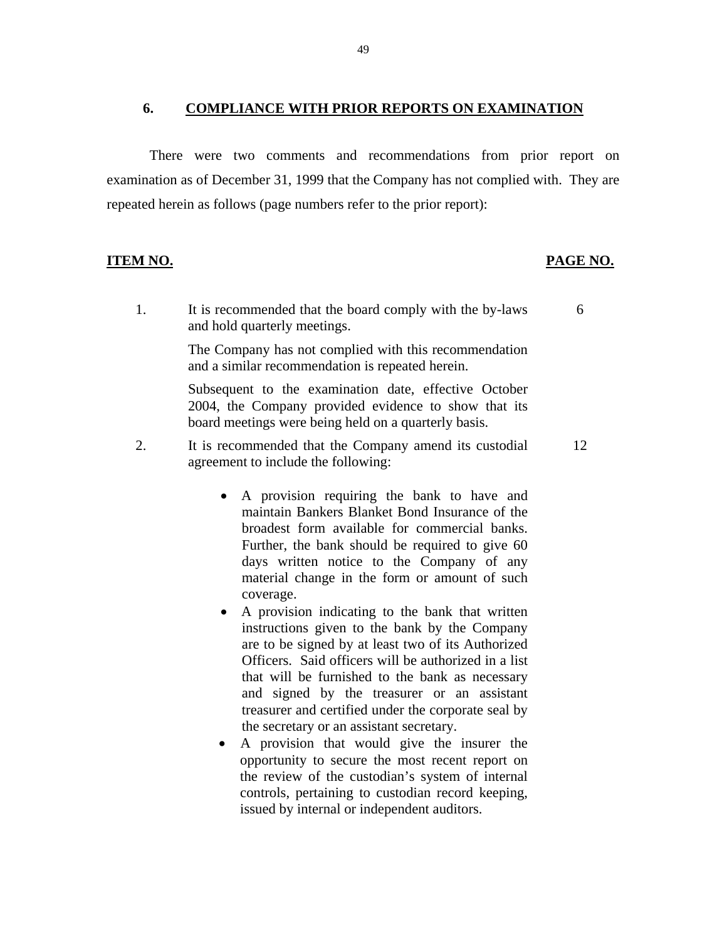### <span id="page-50-0"></span>**6. COMPLIANCE WITH PRIOR REPORTS ON EXAMINATION**

There were two comments and recommendations from prior report on examination as of December 31, 1999 that the Company has not complied with. They are repeated herein as follows (page numbers refer to the prior report):

### **ITEM NO. PAGE NO.**

1. It is recommended that the board comply with the by-laws 6 and hold quarterly meetings.

> The Company has not complied with this recommendation and a similar recommendation is repeated herein.

> Subsequent to the examination date, effective October 2004, the Company provided evidence to show that its board meetings were being held on a quarterly basis.

2. It is recommended that the Company amend its custodial 12 agreement to include the following:

- A provision requiring the bank to have and maintain Bankers Blanket Bond Insurance of the broadest form available for commercial banks. Further, the bank should be required to give 60 days written notice to the Company of any material change in the form or amount of such coverage.
- A provision indicating to the bank that written instructions given to the bank by the Company are to be signed by at least two of its Authorized Officers. Said officers will be authorized in a list that will be furnished to the bank as necessary and signed by the treasurer or an assistant treasurer and certified under the corporate seal by the secretary or an assistant secretary.
- A provision that would give the insurer the opportunity to secure the most recent report on the review of the custodian's system of internal controls, pertaining to custodian record keeping, issued by internal or independent auditors.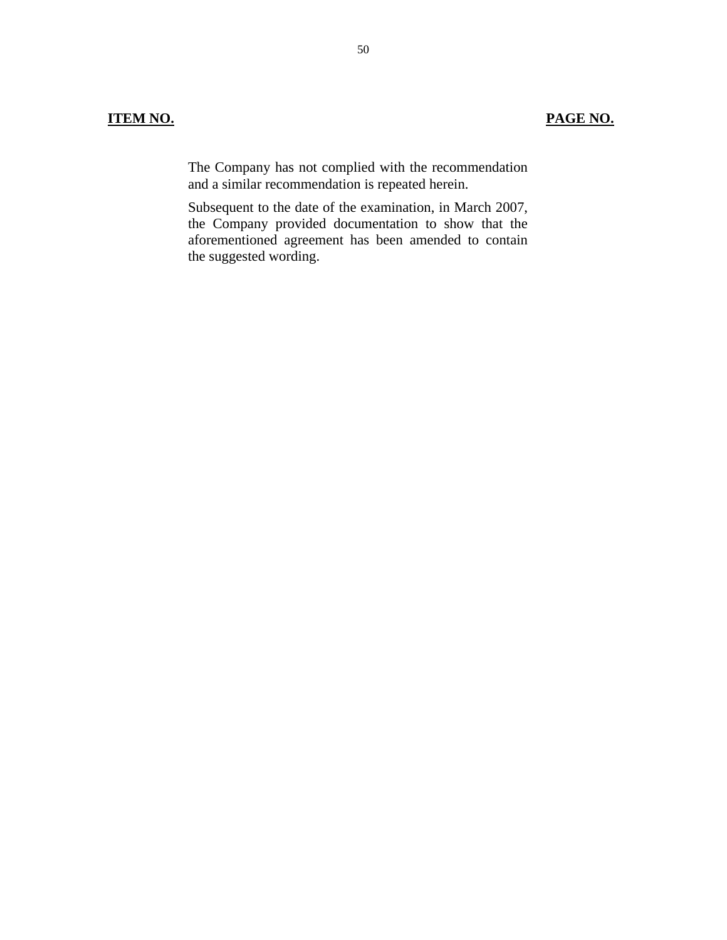The Company has not complied with the recommendation and a similar recommendation is repeated herein.

Subsequent to the date of the examination, in March 2007, the Company provided documentation to show that the aforementioned agreement has been amended to contain the suggested wording.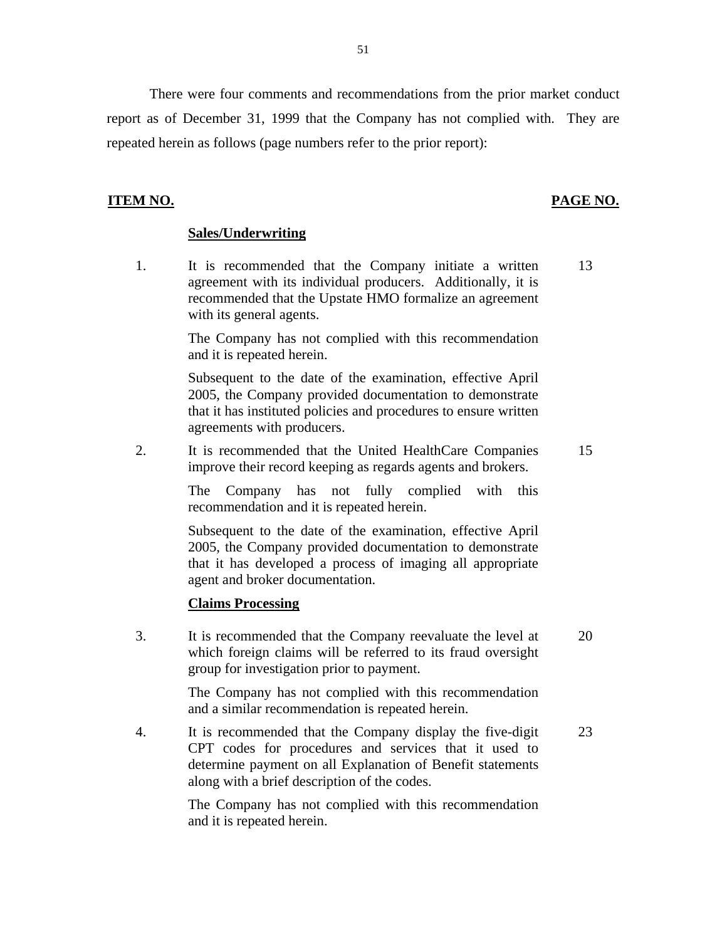There were four comments and recommendations from the prior market conduct report as of December 31, 1999 that the Company has not complied with. They are repeated herein as follows (page numbers refer to the prior report):

### **ITEM NO.**

# **PAGE NO.**

### **Sales/Underwriting**

1. It is recommended that the Company initiate a written 13 agreement with its individual producers. Additionally, it is recommended that the Upstate HMO formalize an agreement with its general agents.

> The Company has not complied with this recommendation and it is repeated herein.

> Subsequent to the date of the examination, effective April 2005, the Company provided documentation to demonstrate that it has instituted policies and procedures to ensure written agreements with producers.

2. It is recommended that the United HealthCare Companies 15 improve their record keeping as regards agents and brokers.

The Company has not fully complied with this recommendation and it is repeated herein.

Subsequent to the date of the examination, effective April 2005, the Company provided documentation to demonstrate that it has developed a process of imaging all appropriate agent and broker documentation.

### **Claims Processing**

3. It is recommended that the Company reevaluate the level at 20 which foreign claims will be referred to its fraud oversight group for investigation prior to payment.

> The Company has not complied with this recommendation and a similar recommendation is repeated herein.

4. It is recommended that the Company display the five-digit 23 CPT codes for procedures and services that it used to determine payment on all Explanation of Benefit statements along with a brief description of the codes.

> The Company has not complied with this recommendation and it is repeated herein.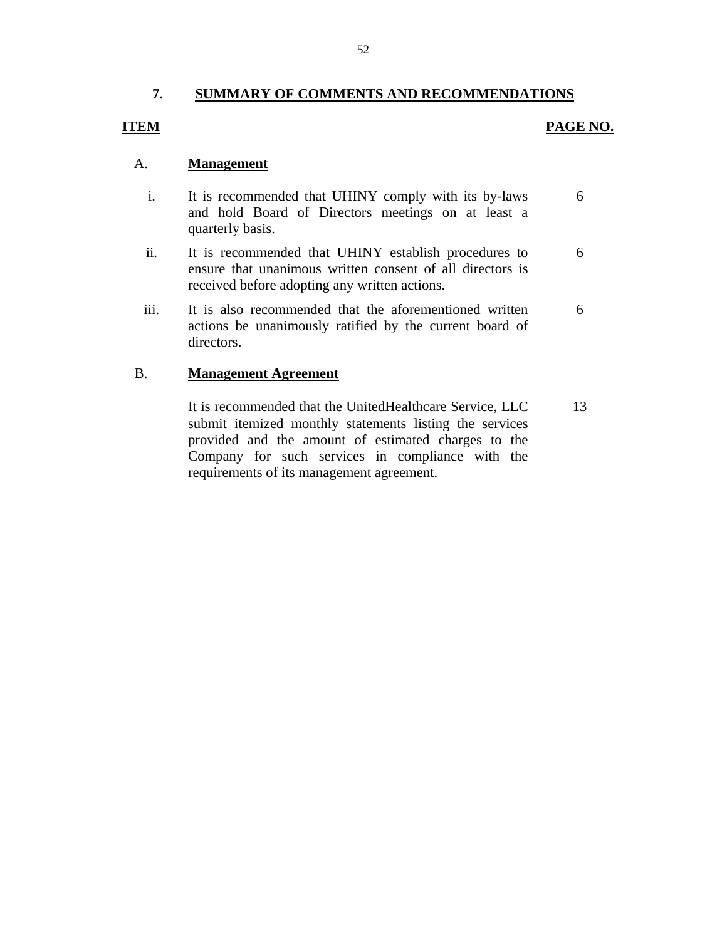# **7. SUMMARY OF COMMENTS AND RECOMMENDATIONS**

# <span id="page-53-0"></span>**ITEM**

# **PAGE NO.**

# A. **Management**

- i. It is recommended that UHINY comply with its by-laws 6 and hold Board of Directors meetings on at least a quarterly basis.
- ii. It is recommended that UHINY establish procedures to 6 ensure that unanimous written consent of all directors is received before adopting any written actions.
- iii. It is also recommended that the aforementioned written 6 actions be unanimously ratified by the current board of directors.

### B. **Management Agreement**

It is recommended that the UnitedHealthcare Service, LLC 13 submit itemized monthly statements listing the services provided and the amount of estimated charges to the Company for such services in compliance with the requirements of its management agreement.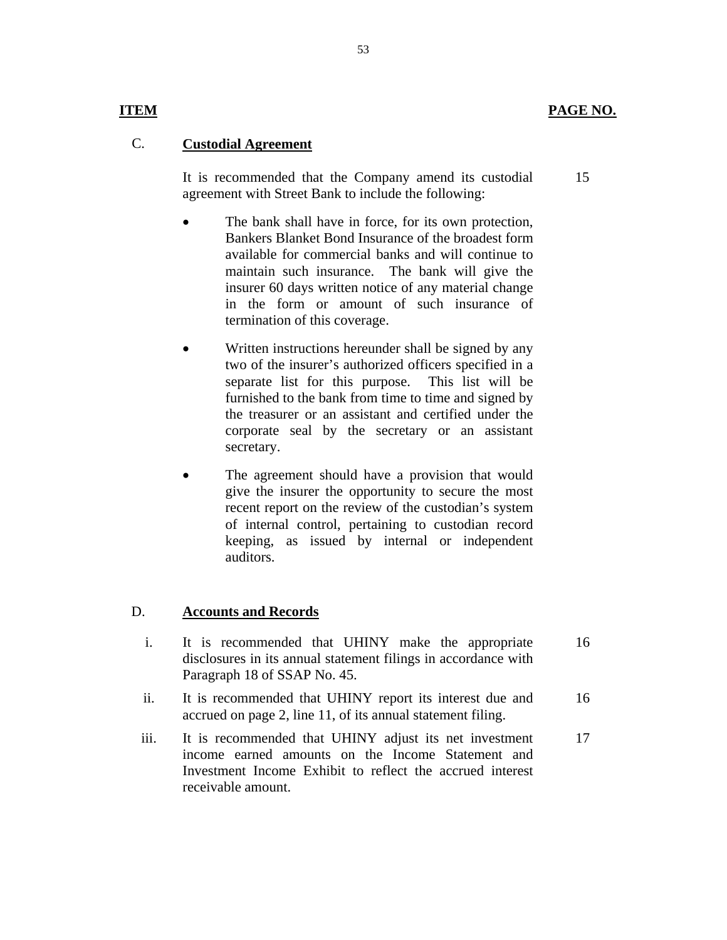15

# **ITEM**

# C. **Custodial Agreement**

It is recommended that the Company amend its custodial agreement with Street Bank to include the following:

- The bank shall have in force, for its own protection, Bankers Blanket Bond Insurance of the broadest form available for commercial banks and will continue to maintain such insurance. The bank will give the insurer 60 days written notice of any material change in the form or amount of such insurance of termination of this coverage.
- Written instructions hereunder shall be signed by any two of the insurer's authorized officers specified in a separate list for this purpose. This list will be furnished to the bank from time to time and signed by the treasurer or an assistant and certified under the corporate seal by the secretary or an assistant secretary.
- The agreement should have a provision that would give the insurer the opportunity to secure the most recent report on the review of the custodian's system of internal control, pertaining to custodian record keeping, as issued by internal or independent auditors.

# D. **Accounts and Records**

- i. It is recommended that UHINY make the appropriate disclosures in its annual statement filings in accordance with Paragraph 18 of SSAP No. 45. 16
- ii. It is recommended that UHINY report its interest due and accrued on page 2, line 11, of its annual statement filing. 16
- iii. It is recommended that UHINY adjust its net investment income earned amounts on the Income Statement and Investment Income Exhibit to reflect the accrued interest receivable amount. 17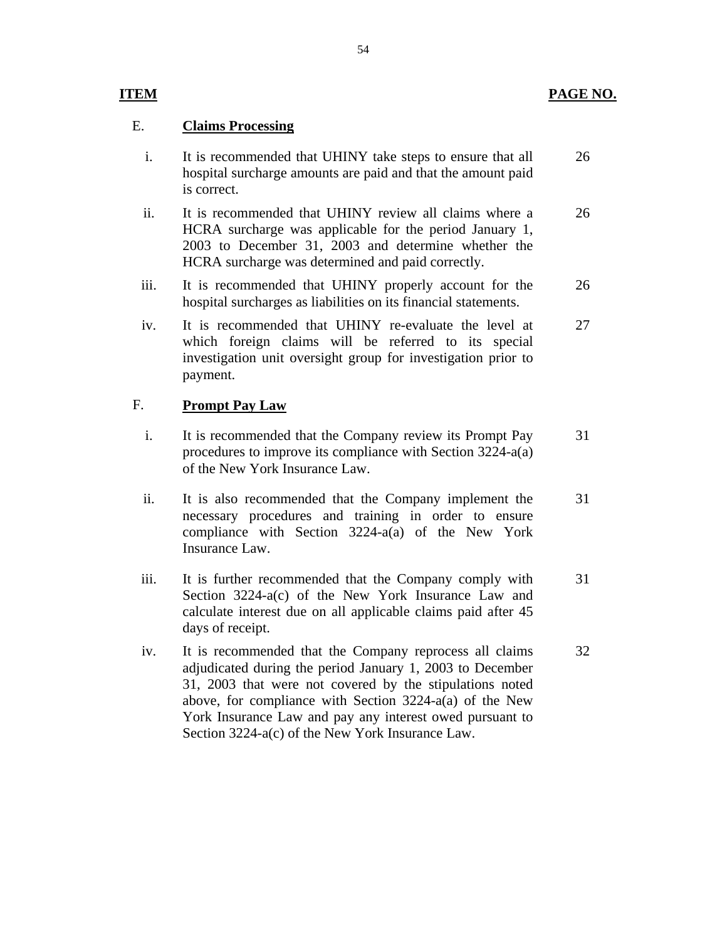# E. **Claims Processing**

- i. It is recommended that UHINY take steps to ensure that all hospital surcharge amounts are paid and that the amount paid is correct. 26
- ii. It is recommended that UHINY review all claims where a HCRA surcharge was applicable for the period January 1, 2003 to December 31, 2003 and determine whether the HCRA surcharge was determined and paid correctly. 26
- iii. It is recommended that UHINY properly account for the hospital surcharges as liabilities on its financial statements. 26
- iv. It is recommended that UHINY re-evaluate the level at which foreign claims will be referred to its special investigation unit oversight group for investigation prior to payment. 27

# F. **Prompt Pay Law**

- i. It is recommended that the Company review its Prompt Pay procedures to improve its compliance with Section 3224-a(a) of the New York Insurance Law. 31
- ii. It is also recommended that the Company implement the necessary procedures and training in order to ensure compliance with Section 3224-a(a) of the New York Insurance Law. 31
- iii. It is further recommended that the Company comply with Section 3224-a(c) of the New York Insurance Law and calculate interest due on all applicable claims paid after 45 days of receipt. 31
- iv. It is recommended that the Company reprocess all claims adjudicated during the period January 1, 2003 to December 31, 2003 that were not covered by the stipulations noted above, for compliance with Section 3224-a(a) of the New York Insurance Law and pay any interest owed pursuant to Section 3224-a(c) of the New York Insurance Law. 32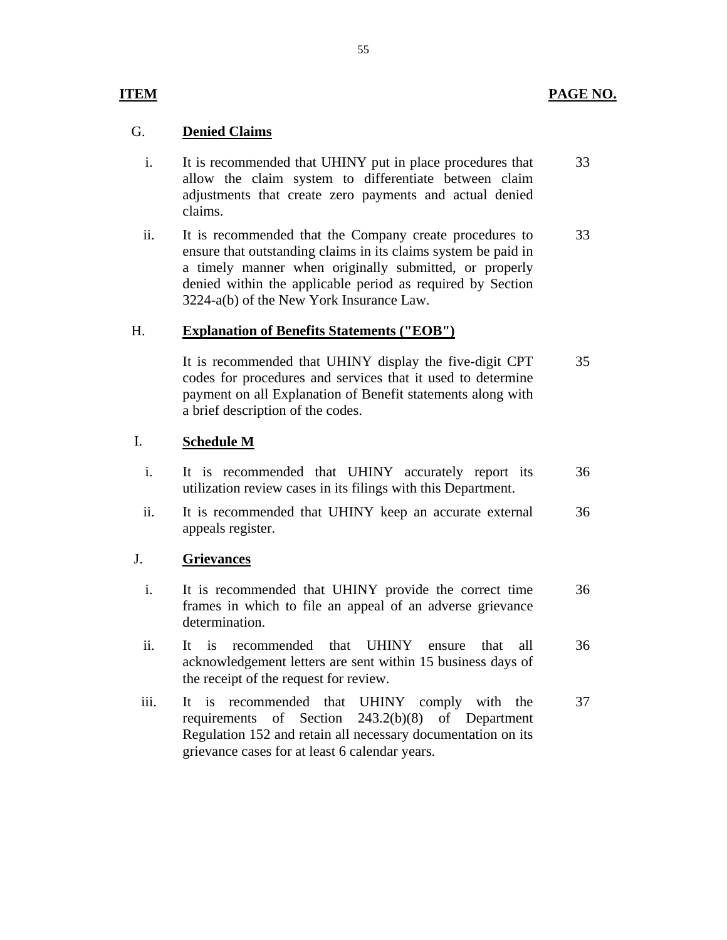# **PAGE NO.**

# **ITEM**

# G. **Denied Claims**

- i. It is recommended that UHINY put in place procedures that allow the claim system to differentiate between claim adjustments that create zero payments and actual denied claims. 33
- ii. It is recommended that the Company create procedures to ensure that outstanding claims in its claims system be paid in a timely manner when originally submitted, or properly denied within the applicable period as required by Section 3224-a(b) of the New York Insurance Law. 33

# H. **Explanation of Benefits Statements ("EOB")**

It is recommended that UHINY display the five-digit CPT codes for procedures and services that it used to determine payment on all Explanation of Benefit statements along with a brief description of the codes. 35

# I. **Schedule M**

- i. It is recommended that UHINY accurately report its utilization review cases in its filings with this Department. 36
- ii. It is recommended that UHINY keep an accurate external appeals register. 36

# J. **Grievances**

- i. It is recommended that UHINY provide the correct time frames in which to file an appeal of an adverse grievance determination. 36
- ii. It is recommended that UHINY ensure that all acknowledgement letters are sent within 15 business days of the receipt of the request for review. 36
- iii. It is recommended that UHINY comply with the requirements of Section 243.2(b)(8) of Department Regulation 152 and retain all necessary documentation on its grievance cases for at least 6 calendar years. 37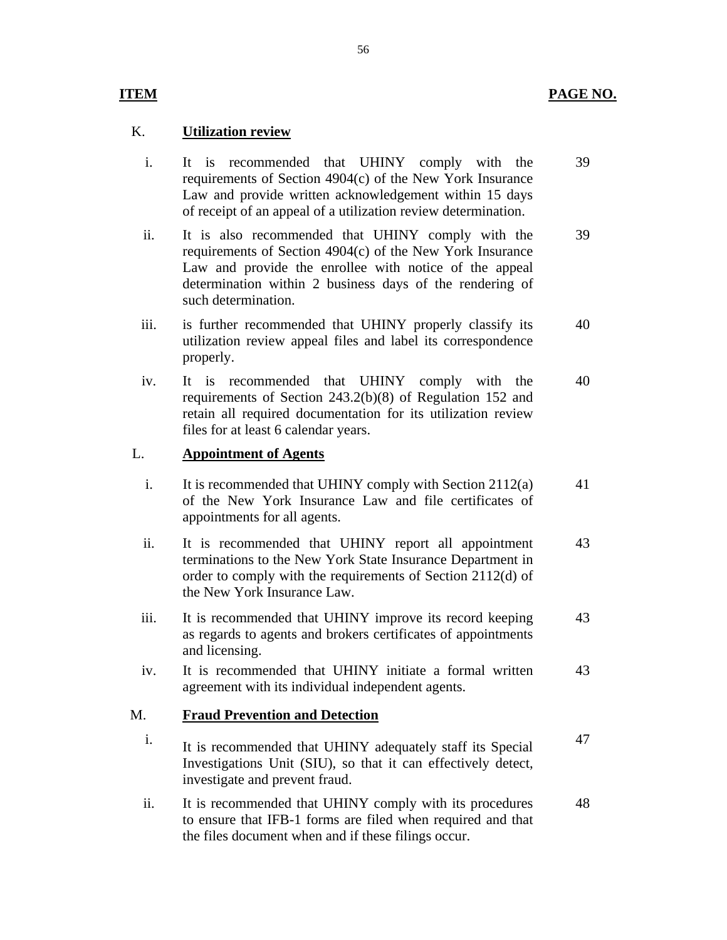# **ITEM**

# K. **Utilization review**

- i. It is recommended that UHINY comply with the requirements of Section 4904(c) of the New York Insurance Law and provide written acknowledgement within 15 days of receipt of an appeal of a utilization review determination. 39
- ii. It is also recommended that UHINY comply with the requirements of Section 4904(c) of the New York Insurance Law and provide the enrollee with notice of the appeal determination within 2 business days of the rendering of such determination. 39
- iii. is further recommended that UHINY properly classify its utilization review appeal files and label its correspondence properly. 40
- iv. It is recommended that UHINY comply with the requirements of Section 243.2(b)(8) of Regulation 152 and retain all required documentation for its utilization review files for at least 6 calendar years. 40

# L. **Appointment of Agents**

- i. It is recommended that UHINY comply with Section 2112(a) of the New York Insurance Law and file certificates of 41 appointments for all agents.
- ii. It is recommended that UHINY report all appointment terminations to the New York State Insurance Department in order to comply with the requirements of Section 2112(d) of the New York Insurance Law. 43
- iii. It is recommended that UHINY improve its record keeping as regards to agents and brokers certificates of appointments and licensing. 43
- iv. It is recommended that UHINY initiate a formal written 43 agreement with its individual independent agents.

# M. **Fraud Prevention and Detection**

- i. It is recommended that UHINY adequately staff its Special Investigations Unit (SIU), so that it can effectively detect, investigate and prevent fraud. 47
- ii. It is recommended that UHINY comply with its procedures to ensure that IFB-1 forms are filed when required and that the files document when and if these filings occur. 48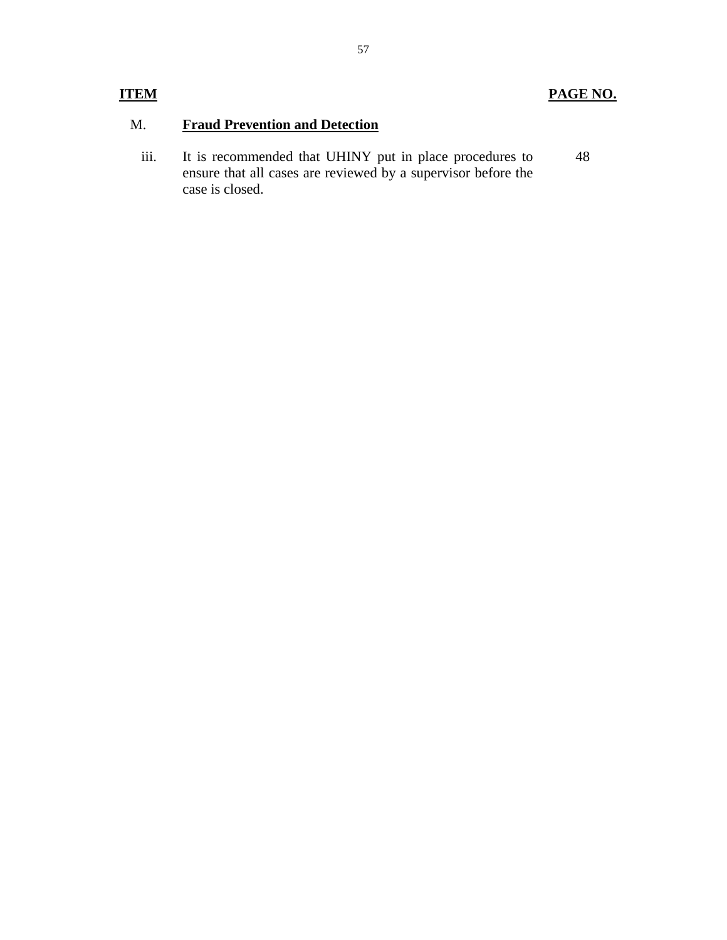# **PAGE NO.**

# M. **Fraud Prevention and Detection**

iii. It is recommended that UHINY put in place procedures to ensure that all cases are reviewed by a supervisor before the case is closed. 48